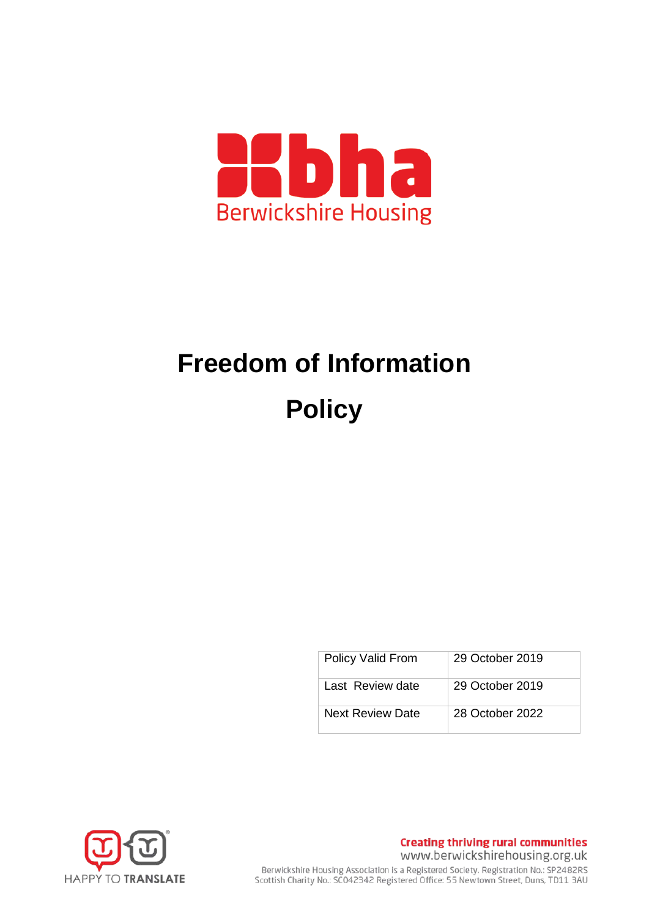

# **Freedom of Information Policy**

| Policy Valid From       | 29 October 2019 |
|-------------------------|-----------------|
| Last Review date        | 29 October 2019 |
| <b>Next Review Date</b> | 28 October 2022 |



**Creating thriving rural communities** www.berwickshirehousing.org.uk Berwickshire Housing Association is a Registered Society. Registration No.: SP2482RS<br>Scottish Charity No.: SC042342 Registered Office: 55 Newtown Street, Duns, TD11 3AU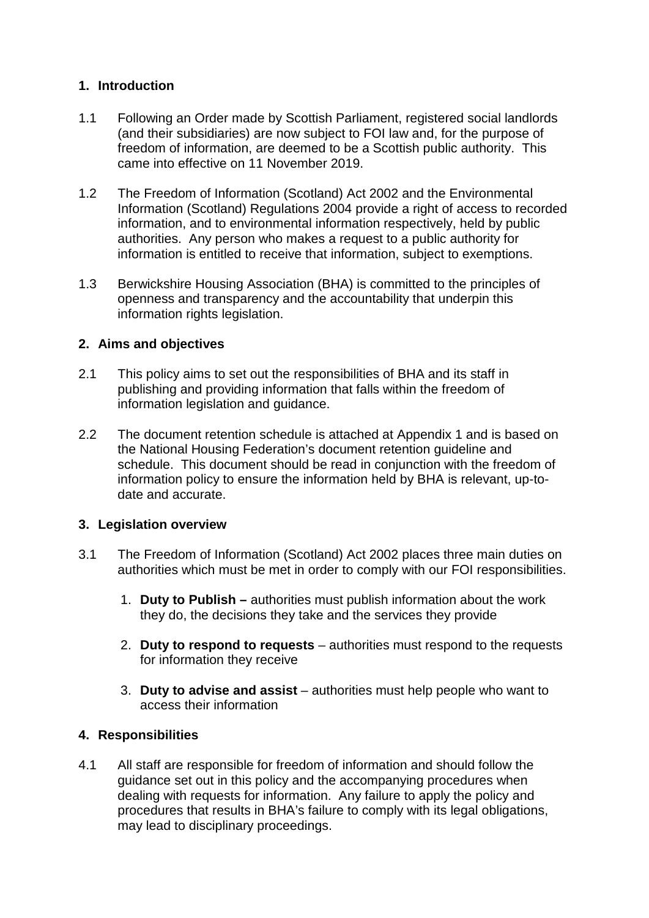# **1. Introduction**

- 1.1 Following an Order made by Scottish Parliament, registered social landlords (and their subsidiaries) are now subject to FOI law and, for the purpose of freedom of information, are deemed to be a Scottish public authority. This came into effective on 11 November 2019.
- 1.2 The Freedom of Information (Scotland) Act 2002 and the Environmental Information (Scotland) Regulations 2004 provide a right of access to recorded information, and to environmental information respectively, held by public authorities. Any person who makes a request to a public authority for information is entitled to receive that information, subject to exemptions.
- 1.3 Berwickshire Housing Association (BHA) is committed to the principles of openness and transparency and the accountability that underpin this information rights legislation.

# **2. Aims and objectives**

- 2.1 This policy aims to set out the responsibilities of BHA and its staff in publishing and providing information that falls within the freedom of information legislation and guidance.
- 2.2 The document retention schedule is attached at Appendix 1 and is based on the National Housing Federation's document retention guideline and schedule. This document should be read in conjunction with the freedom of information policy to ensure the information held by BHA is relevant, up-todate and accurate.

# **3. Legislation overview**

- 3.1 The Freedom of Information (Scotland) Act 2002 places three main duties on authorities which must be met in order to comply with our FOI responsibilities.
	- 1. **Duty to Publish –** authorities must publish information about the work they do, the decisions they take and the services they provide
	- 2. **Duty to respond to requests**  authorities must respond to the requests for information they receive
	- 3. **Duty to advise and assist** authorities must help people who want to access their information

# **4. Responsibilities**

4.1 All staff are responsible for freedom of information and should follow the guidance set out in this policy and the accompanying procedures when dealing with requests for information. Any failure to apply the policy and procedures that results in BHA's failure to comply with its legal obligations, may lead to disciplinary proceedings.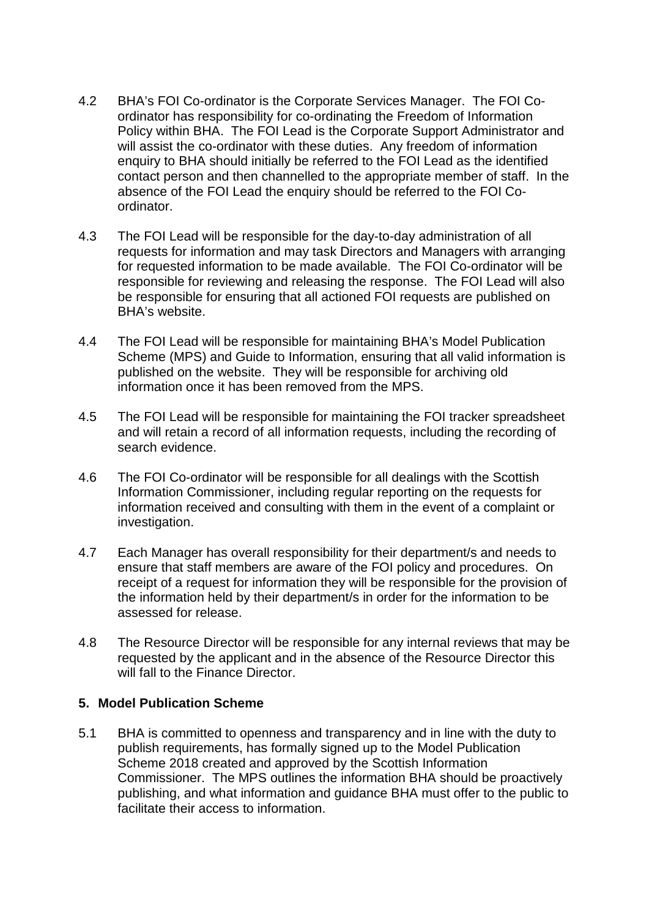- 4.2 BHA's FOI Co-ordinator is the Corporate Services Manager. The FOI Coordinator has responsibility for co-ordinating the Freedom of Information Policy within BHA. The FOI Lead is the Corporate Support Administrator and will assist the co-ordinator with these duties. Any freedom of information enquiry to BHA should initially be referred to the FOI Lead as the identified contact person and then channelled to the appropriate member of staff. In the absence of the FOI Lead the enquiry should be referred to the FOI Coordinator.
- 4.3 The FOI Lead will be responsible for the day-to-day administration of all requests for information and may task Directors and Managers with arranging for requested information to be made available. The FOI Co-ordinator will be responsible for reviewing and releasing the response. The FOI Lead will also be responsible for ensuring that all actioned FOI requests are published on BHA's website.
- 4.4 The FOI Lead will be responsible for maintaining BHA's Model Publication Scheme (MPS) and Guide to Information, ensuring that all valid information is published on the website. They will be responsible for archiving old information once it has been removed from the MPS.
- 4.5 The FOI Lead will be responsible for maintaining the FOI tracker spreadsheet and will retain a record of all information requests, including the recording of search evidence.
- 4.6 The FOI Co-ordinator will be responsible for all dealings with the Scottish Information Commissioner, including regular reporting on the requests for information received and consulting with them in the event of a complaint or investigation.
- 4.7 Each Manager has overall responsibility for their department/s and needs to ensure that staff members are aware of the FOI policy and procedures. On receipt of a request for information they will be responsible for the provision of the information held by their department/s in order for the information to be assessed for release.
- 4.8 The Resource Director will be responsible for any internal reviews that may be requested by the applicant and in the absence of the Resource Director this will fall to the Finance Director.

#### **5. Model Publication Scheme**

5.1 BHA is committed to openness and transparency and in line with the duty to publish requirements, has formally signed up to the Model Publication Scheme 2018 created and approved by the Scottish Information Commissioner. The MPS outlines the information BHA should be proactively publishing, and what information and guidance BHA must offer to the public to facilitate their access to information.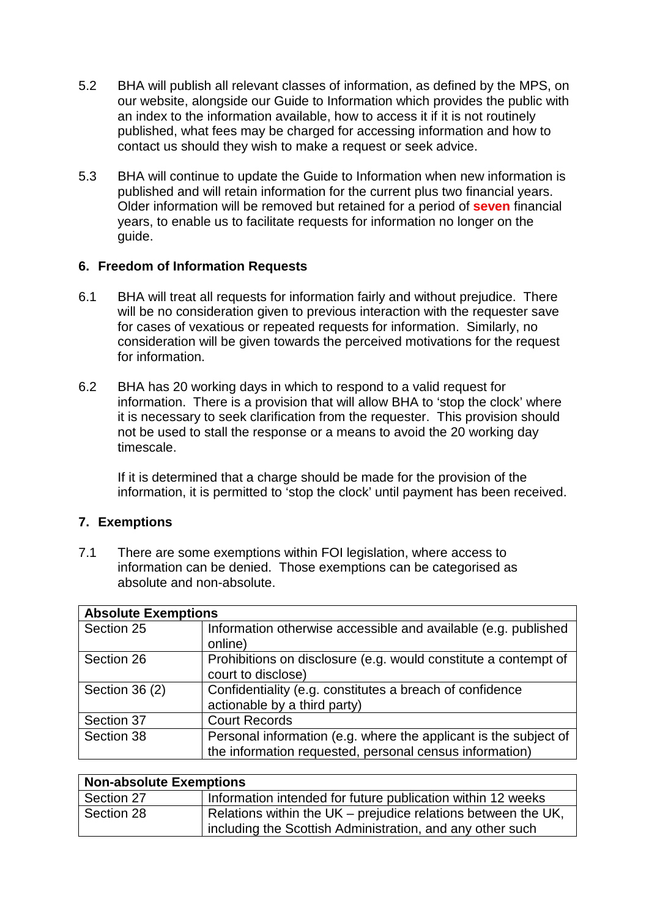- 5.2 BHA will publish all relevant classes of information, as defined by the MPS, on our website, alongside our Guide to Information which provides the public with an index to the information available, how to access it if it is not routinely published, what fees may be charged for accessing information and how to contact us should they wish to make a request or seek advice.
- 5.3 BHA will continue to update the Guide to Information when new information is published and will retain information for the current plus two financial years. Older information will be removed but retained for a period of **seven** financial years, to enable us to facilitate requests for information no longer on the guide.

#### **6. Freedom of Information Requests**

- 6.1 BHA will treat all requests for information fairly and without prejudice. There will be no consideration given to previous interaction with the requester save for cases of vexatious or repeated requests for information. Similarly, no consideration will be given towards the perceived motivations for the request for information.
- 6.2 BHA has 20 working days in which to respond to a valid request for information. There is a provision that will allow BHA to 'stop the clock' where it is necessary to seek clarification from the requester. This provision should not be used to stall the response or a means to avoid the 20 working day timescale.

If it is determined that a charge should be made for the provision of the information, it is permitted to 'stop the clock' until payment has been received.

# **7. Exemptions**

7.1 There are some exemptions within FOI legislation, where access to information can be denied. Those exemptions can be categorised as absolute and non-absolute.

|                | <b>Absolute Exemptions</b>                                       |  |  |  |  |  |  |  |  |
|----------------|------------------------------------------------------------------|--|--|--|--|--|--|--|--|
| Section 25     | Information otherwise accessible and available (e.g. published   |  |  |  |  |  |  |  |  |
|                | online)                                                          |  |  |  |  |  |  |  |  |
| Section 26     | Prohibitions on disclosure (e.g. would constitute a contempt of  |  |  |  |  |  |  |  |  |
|                | court to disclose)                                               |  |  |  |  |  |  |  |  |
| Section 36 (2) | Confidentiality (e.g. constitutes a breach of confidence         |  |  |  |  |  |  |  |  |
|                | actionable by a third party)                                     |  |  |  |  |  |  |  |  |
| Section 37     | <b>Court Records</b>                                             |  |  |  |  |  |  |  |  |
| Section 38     | Personal information (e.g. where the applicant is the subject of |  |  |  |  |  |  |  |  |
|                | the information requested, personal census information)          |  |  |  |  |  |  |  |  |

| <b>Non-absolute Exemptions</b> |                                                                                                                            |  |  |  |  |  |  |  |
|--------------------------------|----------------------------------------------------------------------------------------------------------------------------|--|--|--|--|--|--|--|
| Section 27                     | Information intended for future publication within 12 weeks                                                                |  |  |  |  |  |  |  |
| Section 28                     | Relations within the UK – prejudice relations between the UK,<br>including the Scottish Administration, and any other such |  |  |  |  |  |  |  |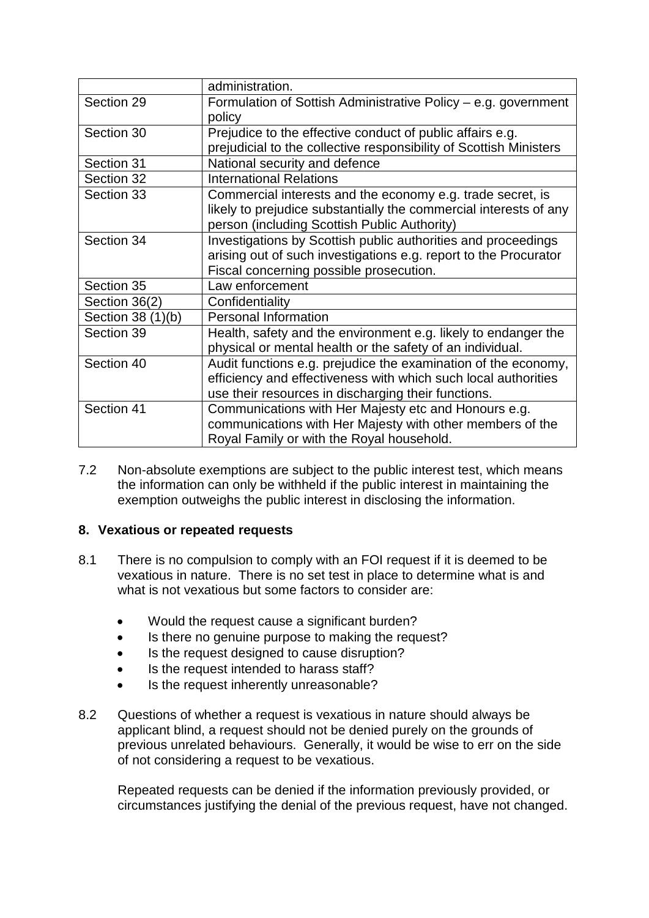|                   | administration.                                                    |
|-------------------|--------------------------------------------------------------------|
| Section 29        | Formulation of Sottish Administrative Policy – e.g. government     |
|                   | policy                                                             |
| Section 30        | Prejudice to the effective conduct of public affairs e.g.          |
|                   | prejudicial to the collective responsibility of Scottish Ministers |
| Section 31        | National security and defence                                      |
| Section 32        | <b>International Relations</b>                                     |
| Section 33        | Commercial interests and the economy e.g. trade secret, is         |
|                   | likely to prejudice substantially the commercial interests of any  |
|                   | person (including Scottish Public Authority)                       |
| Section 34        | Investigations by Scottish public authorities and proceedings      |
|                   | arising out of such investigations e.g. report to the Procurator   |
|                   | Fiscal concerning possible prosecution.                            |
| Section 35        | Law enforcement                                                    |
| Section 36(2)     | Confidentiality                                                    |
| Section 38 (1)(b) | <b>Personal Information</b>                                        |
| Section 39        | Health, safety and the environment e.g. likely to endanger the     |
|                   | physical or mental health or the safety of an individual.          |
| Section 40        | Audit functions e.g. prejudice the examination of the economy,     |
|                   | efficiency and effectiveness with which such local authorities     |
|                   | use their resources in discharging their functions.                |
| Section 41        | Communications with Her Majesty etc and Honours e.g.               |
|                   | communications with Her Majesty with other members of the          |
|                   | Royal Family or with the Royal household.                          |

7.2 Non-absolute exemptions are subject to the public interest test, which means the information can only be withheld if the public interest in maintaining the exemption outweighs the public interest in disclosing the information.

# **8. Vexatious or repeated requests**

- 8.1 There is no compulsion to comply with an FOI request if it is deemed to be vexatious in nature. There is no set test in place to determine what is and what is not vexatious but some factors to consider are:
	- Would the request cause a significant burden?
	- Is there no genuine purpose to making the request?
	- Is the request designed to cause disruption?
	- Is the request intended to harass staff?
	- Is the request inherently unreasonable?
- 8.2 Questions of whether a request is vexatious in nature should always be applicant blind, a request should not be denied purely on the grounds of previous unrelated behaviours. Generally, it would be wise to err on the side of not considering a request to be vexatious.

Repeated requests can be denied if the information previously provided, or circumstances justifying the denial of the previous request, have not changed.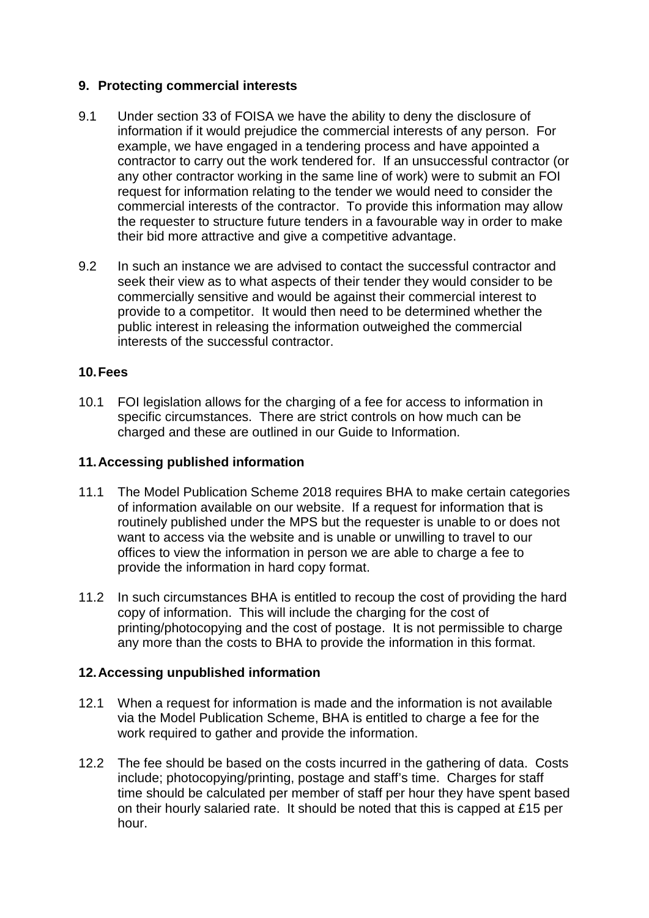## **9. Protecting commercial interests**

- 9.1 Under section 33 of FOISA we have the ability to deny the disclosure of information if it would prejudice the commercial interests of any person. For example, we have engaged in a tendering process and have appointed a contractor to carry out the work tendered for. If an unsuccessful contractor (or any other contractor working in the same line of work) were to submit an FOI request for information relating to the tender we would need to consider the commercial interests of the contractor. To provide this information may allow the requester to structure future tenders in a favourable way in order to make their bid more attractive and give a competitive advantage.
- 9.2 In such an instance we are advised to contact the successful contractor and seek their view as to what aspects of their tender they would consider to be commercially sensitive and would be against their commercial interest to provide to a competitor. It would then need to be determined whether the public interest in releasing the information outweighed the commercial interests of the successful contractor.

#### **10.Fees**

10.1 FOI legislation allows for the charging of a fee for access to information in specific circumstances. There are strict controls on how much can be charged and these are outlined in our Guide to Information.

#### **11.Accessing published information**

- 11.1 The Model Publication Scheme 2018 requires BHA to make certain categories of information available on our website. If a request for information that is routinely published under the MPS but the requester is unable to or does not want to access via the website and is unable or unwilling to travel to our offices to view the information in person we are able to charge a fee to provide the information in hard copy format.
- 11.2 In such circumstances BHA is entitled to recoup the cost of providing the hard copy of information. This will include the charging for the cost of printing/photocopying and the cost of postage. It is not permissible to charge any more than the costs to BHA to provide the information in this format.

#### **12.Accessing unpublished information**

- 12.1 When a request for information is made and the information is not available via the Model Publication Scheme, BHA is entitled to charge a fee for the work required to gather and provide the information.
- 12.2 The fee should be based on the costs incurred in the gathering of data. Costs include; photocopying/printing, postage and staff's time. Charges for staff time should be calculated per member of staff per hour they have spent based on their hourly salaried rate. It should be noted that this is capped at £15 per hour.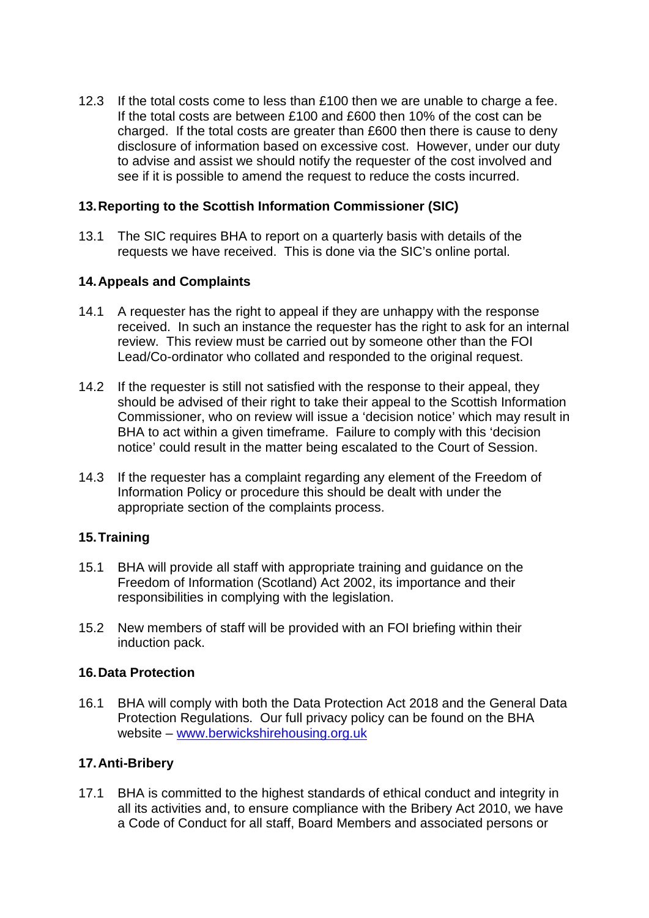12.3 If the total costs come to less than £100 then we are unable to charge a fee. If the total costs are between £100 and £600 then 10% of the cost can be charged. If the total costs are greater than £600 then there is cause to deny disclosure of information based on excessive cost. However, under our duty to advise and assist we should notify the requester of the cost involved and see if it is possible to amend the request to reduce the costs incurred.

## **13.Reporting to the Scottish Information Commissioner (SIC)**

13.1 The SIC requires BHA to report on a quarterly basis with details of the requests we have received. This is done via the SIC's online portal.

# **14.Appeals and Complaints**

- 14.1 A requester has the right to appeal if they are unhappy with the response received. In such an instance the requester has the right to ask for an internal review. This review must be carried out by someone other than the FOI Lead/Co-ordinator who collated and responded to the original request.
- 14.2 If the requester is still not satisfied with the response to their appeal, they should be advised of their right to take their appeal to the Scottish Information Commissioner, who on review will issue a 'decision notice' which may result in BHA to act within a given timeframe. Failure to comply with this 'decision notice' could result in the matter being escalated to the Court of Session.
- 14.3 If the requester has a complaint regarding any element of the Freedom of Information Policy or procedure this should be dealt with under the appropriate section of the complaints process.

# **15.Training**

- 15.1 BHA will provide all staff with appropriate training and guidance on the Freedom of Information (Scotland) Act 2002, its importance and their responsibilities in complying with the legislation.
- 15.2 New members of staff will be provided with an FOI briefing within their induction pack.

# **16.Data Protection**

16.1 BHA will comply with both the Data Protection Act 2018 and the General Data Protection Regulations. Our full privacy policy can be found on the BHA website – [www.berwickshirehousing.org.uk](http://www.berwickshirehousing.org.uk/)

# **17.Anti-Bribery**

17.1 BHA is committed to the highest standards of ethical conduct and integrity in all its activities and, to ensure compliance with the Bribery Act 2010, we have a Code of Conduct for all staff, Board Members and associated persons or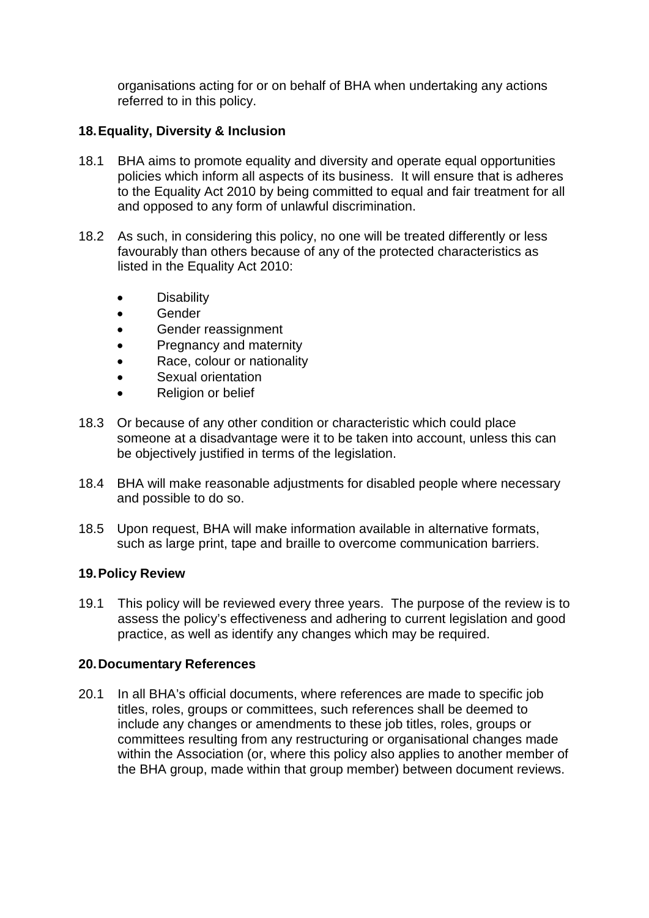organisations acting for or on behalf of BHA when undertaking any actions referred to in this policy.

## **18.Equality, Diversity & Inclusion**

- 18.1 BHA aims to promote equality and diversity and operate equal opportunities policies which inform all aspects of its business. It will ensure that is adheres to the Equality Act 2010 by being committed to equal and fair treatment for all and opposed to any form of unlawful discrimination.
- 18.2 As such, in considering this policy, no one will be treated differently or less favourably than others because of any of the protected characteristics as listed in the Equality Act 2010:
	- Disability
	- Gender
	- Gender reassignment
	- Pregnancy and maternity
	- Race, colour or nationality
	- Sexual orientation
	- Religion or belief
- 18.3 Or because of any other condition or characteristic which could place someone at a disadvantage were it to be taken into account, unless this can be objectively justified in terms of the legislation.
- 18.4 BHA will make reasonable adjustments for disabled people where necessary and possible to do so.
- 18.5 Upon request, BHA will make information available in alternative formats, such as large print, tape and braille to overcome communication barriers.

#### **19.Policy Review**

19.1 This policy will be reviewed every three years. The purpose of the review is to assess the policy's effectiveness and adhering to current legislation and good practice, as well as identify any changes which may be required.

#### **20.Documentary References**

20.1 In all BHA's official documents, where references are made to specific job titles, roles, groups or committees, such references shall be deemed to include any changes or amendments to these job titles, roles, groups or committees resulting from any restructuring or organisational changes made within the Association (or, where this policy also applies to another member of the BHA group, made within that group member) between document reviews.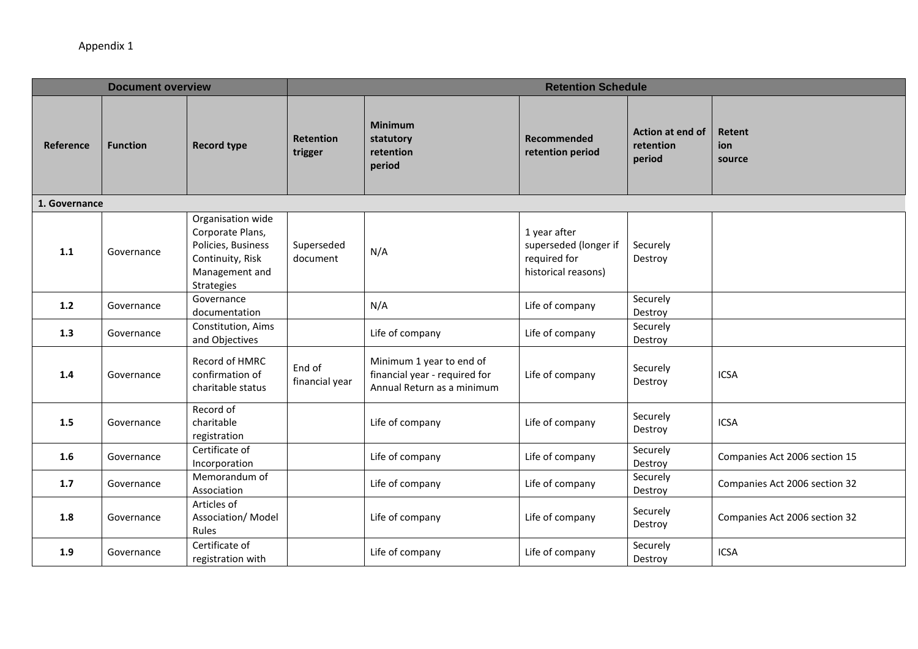|               | <b>Document overview</b> |                                                                                                                 | <b>Retention Schedule</b>   |                                                                                         |                                                                              |                                                |                               |
|---------------|--------------------------|-----------------------------------------------------------------------------------------------------------------|-----------------------------|-----------------------------------------------------------------------------------------|------------------------------------------------------------------------------|------------------------------------------------|-------------------------------|
| Reference     | <b>Function</b>          | <b>Record type</b>                                                                                              | <b>Retention</b><br>trigger | <b>Minimum</b><br>statutory<br>retention<br>period                                      | Recommended<br>retention period                                              | <b>Action at end of</b><br>retention<br>period | Retent<br>ion<br>source       |
| 1. Governance |                          |                                                                                                                 |                             |                                                                                         |                                                                              |                                                |                               |
| 1.1           | Governance               | Organisation wide<br>Corporate Plans,<br>Policies, Business<br>Continuity, Risk<br>Management and<br>Strategies | Superseded<br>document      | N/A                                                                                     | 1 year after<br>superseded (longer if<br>required for<br>historical reasons) | Securely<br>Destroy                            |                               |
| $1.2$         | Governance               | Governance<br>documentation                                                                                     |                             | N/A                                                                                     | Life of company                                                              | Securely<br>Destroy                            |                               |
| 1.3           | Governance               | Constitution, Aims<br>and Objectives                                                                            |                             | Life of company                                                                         | Life of company                                                              | Securely<br>Destroy                            |                               |
| 1.4           | Governance               | Record of HMRC<br>confirmation of<br>charitable status                                                          | End of<br>financial year    | Minimum 1 year to end of<br>financial year - required for<br>Annual Return as a minimum | Life of company                                                              | Securely<br>Destroy                            | <b>ICSA</b>                   |
| 1.5           | Governance               | Record of<br>charitable<br>registration                                                                         |                             | Life of company                                                                         | Life of company                                                              | Securely<br>Destroy                            | <b>ICSA</b>                   |
| 1.6           | Governance               | Certificate of<br>Incorporation                                                                                 |                             | Life of company                                                                         | Life of company                                                              | Securely<br>Destroy                            | Companies Act 2006 section 15 |
| 1.7           | Governance               | Memorandum of<br>Association                                                                                    |                             | Life of company                                                                         | Life of company                                                              | Securely<br>Destroy                            | Companies Act 2006 section 32 |
| 1.8           | Governance               | Articles of<br>Association/ Model<br>Rules                                                                      |                             | Life of company                                                                         | Life of company                                                              | Securely<br>Destroy                            | Companies Act 2006 section 32 |
| 1.9           | Governance               | Certificate of<br>registration with                                                                             |                             | Life of company                                                                         | Life of company                                                              | Securely<br>Destroy                            | <b>ICSA</b>                   |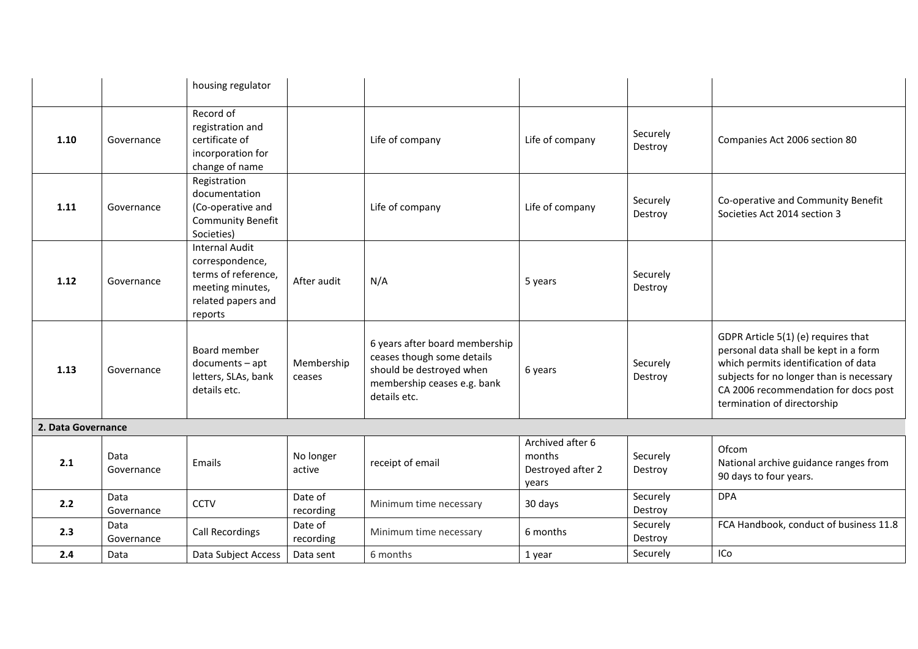|                    |                    | housing regulator                                                                                                    |                      |                                                                                                                                         |                                                          |                     |                                                                                                                                                                                                                                         |
|--------------------|--------------------|----------------------------------------------------------------------------------------------------------------------|----------------------|-----------------------------------------------------------------------------------------------------------------------------------------|----------------------------------------------------------|---------------------|-----------------------------------------------------------------------------------------------------------------------------------------------------------------------------------------------------------------------------------------|
| 1.10               | Governance         | Record of<br>registration and<br>certificate of<br>incorporation for<br>change of name                               |                      | Life of company                                                                                                                         | Life of company                                          | Securely<br>Destroy | Companies Act 2006 section 80                                                                                                                                                                                                           |
| 1.11               | Governance         | Registration<br>documentation<br>(Co-operative and<br><b>Community Benefit</b><br>Societies)                         |                      | Life of company                                                                                                                         | Life of company                                          | Securely<br>Destroy | Co-operative and Community Benefit<br>Societies Act 2014 section 3                                                                                                                                                                      |
| 1.12               | Governance         | <b>Internal Audit</b><br>correspondence,<br>terms of reference,<br>meeting minutes,<br>related papers and<br>reports | After audit          | N/A                                                                                                                                     | 5 years                                                  | Securely<br>Destroy |                                                                                                                                                                                                                                         |
| 1.13               | Governance         | Board member<br>documents-apt<br>letters, SLAs, bank<br>details etc.                                                 | Membership<br>ceases | 6 years after board membership<br>ceases though some details<br>should be destroyed when<br>membership ceases e.g. bank<br>details etc. | 6 years                                                  | Securely<br>Destroy | GDPR Article 5(1) (e) requires that<br>personal data shall be kept in a form<br>which permits identification of data<br>subjects for no longer than is necessary<br>CA 2006 recommendation for docs post<br>termination of directorship |
| 2. Data Governance |                    |                                                                                                                      |                      |                                                                                                                                         |                                                          |                     |                                                                                                                                                                                                                                         |
| 2.1                | Data<br>Governance | Emails                                                                                                               | No longer<br>active  | receipt of email                                                                                                                        | Archived after 6<br>months<br>Destroyed after 2<br>years | Securely<br>Destroy | Ofcom<br>National archive guidance ranges from<br>90 days to four years.                                                                                                                                                                |
| 2.2                | Data<br>Governance | CCTV                                                                                                                 | Date of<br>recording | Minimum time necessary                                                                                                                  | 30 days                                                  | Securely<br>Destroy | <b>DPA</b>                                                                                                                                                                                                                              |
| 2.3                | Data<br>Governance | Call Recordings                                                                                                      | Date of<br>recording | Minimum time necessary                                                                                                                  | 6 months                                                 | Securely<br>Destroy | FCA Handbook, conduct of business 11.8                                                                                                                                                                                                  |
| 2.4                | Data               | Data Subject Access                                                                                                  | Data sent            | 6 months                                                                                                                                | 1 year                                                   | Securely            | ICo                                                                                                                                                                                                                                     |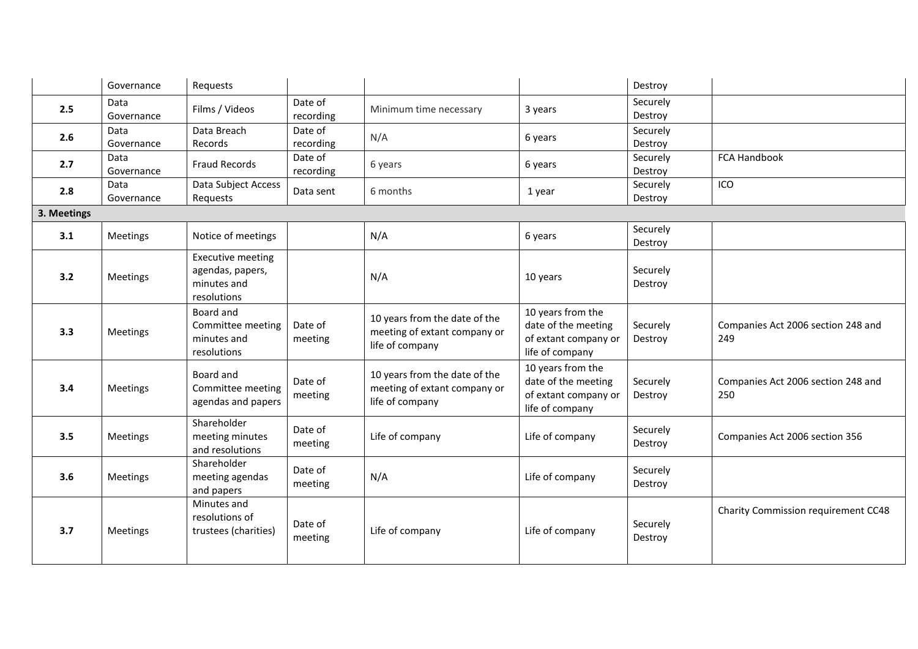|             | Governance         | Requests                                                                   |                      |                                                                                  |                                                                                     | Destroy             |                                           |
|-------------|--------------------|----------------------------------------------------------------------------|----------------------|----------------------------------------------------------------------------------|-------------------------------------------------------------------------------------|---------------------|-------------------------------------------|
| 2.5         | Data<br>Governance | Films / Videos                                                             | Date of<br>recording | Minimum time necessary                                                           | 3 years                                                                             | Securely<br>Destroy |                                           |
| 2.6         | Data<br>Governance | Data Breach<br>Records                                                     | Date of<br>recording | N/A                                                                              | 6 years                                                                             | Securely<br>Destroy |                                           |
| 2.7         | Data<br>Governance | Fraud Records                                                              | Date of<br>recording | 6 years                                                                          | 6 years                                                                             | Securely<br>Destroy | <b>FCA Handbook</b>                       |
| 2.8         | Data<br>Governance | Data Subject Access<br>Requests                                            | Data sent            | 6 months                                                                         | 1 year                                                                              | Securely<br>Destroy | ICO                                       |
| 3. Meetings |                    |                                                                            |                      |                                                                                  |                                                                                     |                     |                                           |
| 3.1         | Meetings           | Notice of meetings                                                         |                      | N/A                                                                              | 6 years                                                                             | Securely<br>Destroy |                                           |
| 3.2         | Meetings           | <b>Executive meeting</b><br>agendas, papers,<br>minutes and<br>resolutions |                      | N/A                                                                              | 10 years                                                                            | Securely<br>Destroy |                                           |
| 3.3         | Meetings           | Board and<br>Committee meeting<br>minutes and<br>resolutions               | Date of<br>meeting   | 10 years from the date of the<br>meeting of extant company or<br>life of company | 10 years from the<br>date of the meeting<br>of extant company or<br>life of company | Securely<br>Destroy | Companies Act 2006 section 248 and<br>249 |
| 3.4         | Meetings           | Board and<br>Committee meeting<br>agendas and papers                       | Date of<br>meeting   | 10 years from the date of the<br>meeting of extant company or<br>life of company | 10 years from the<br>date of the meeting<br>of extant company or<br>life of company | Securely<br>Destroy | Companies Act 2006 section 248 and<br>250 |
| 3.5         | Meetings           | Shareholder<br>meeting minutes<br>and resolutions                          | Date of<br>meeting   | Life of company                                                                  | Life of company                                                                     | Securely<br>Destroy | Companies Act 2006 section 356            |
| 3.6         | Meetings           | Shareholder<br>meeting agendas<br>and papers                               | Date of<br>meeting   | N/A                                                                              | Life of company                                                                     | Securely<br>Destroy |                                           |
| 3.7         | Meetings           | Minutes and<br>resolutions of<br>trustees (charities)                      | Date of<br>meeting   | Life of company                                                                  | Life of company                                                                     | Securely<br>Destroy | Charity Commission requirement CC48       |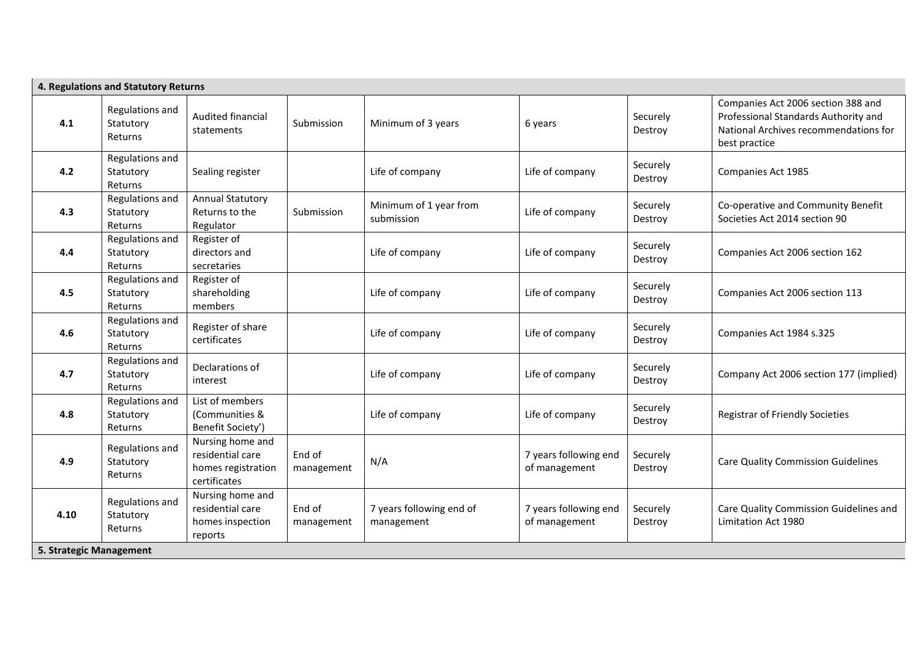| 4. Regulations and Statutory Returns |                                         |                                                                            |                      |                                        |                                        |                     |                                                                                                                                      |  |  |
|--------------------------------------|-----------------------------------------|----------------------------------------------------------------------------|----------------------|----------------------------------------|----------------------------------------|---------------------|--------------------------------------------------------------------------------------------------------------------------------------|--|--|
| 4.1                                  | Regulations and<br>Statutory<br>Returns | Audited financial<br>statements                                            | Submission           | Minimum of 3 years                     | 6 years                                | Securely<br>Destroy | Companies Act 2006 section 388 and<br>Professional Standards Authority and<br>National Archives recommendations for<br>best practice |  |  |
| 4.2                                  | Regulations and<br>Statutory<br>Returns | Sealing register                                                           |                      | Life of company                        | Life of company                        | Securely<br>Destroy | Companies Act 1985                                                                                                                   |  |  |
| 4.3                                  | Regulations and<br>Statutory<br>Returns | <b>Annual Statutory</b><br>Returns to the<br>Regulator                     | Submission           | Minimum of 1 year from<br>submission   | Life of company                        | Securely<br>Destroy | Co-operative and Community Benefit<br>Societies Act 2014 section 90                                                                  |  |  |
| 4.4                                  | Regulations and<br>Statutory<br>Returns | Register of<br>directors and<br>secretaries                                |                      | Life of company                        | Life of company                        | Securely<br>Destroy | Companies Act 2006 section 162                                                                                                       |  |  |
| 4.5                                  | Regulations and<br>Statutory<br>Returns | Register of<br>shareholding<br>members                                     |                      | Life of company                        | Life of company                        | Securely<br>Destroy | Companies Act 2006 section 113                                                                                                       |  |  |
| 4.6                                  | Regulations and<br>Statutory<br>Returns | Register of share<br>certificates                                          |                      | Life of company                        | Life of company                        | Securely<br>Destroy | Companies Act 1984 s.325                                                                                                             |  |  |
| 4.7                                  | Regulations and<br>Statutory<br>Returns | Declarations of<br>interest                                                |                      | Life of company                        | Life of company                        | Securely<br>Destroy | Company Act 2006 section 177 (implied)                                                                                               |  |  |
| 4.8                                  | Regulations and<br>Statutory<br>Returns | List of members<br>(Communities &<br>Benefit Society')                     |                      | Life of company                        | Life of company                        | Securely<br>Destroy | <b>Registrar of Friendly Societies</b>                                                                                               |  |  |
| 4.9                                  | Regulations and<br>Statutory<br>Returns | Nursing home and<br>residential care<br>homes registration<br>certificates | End of<br>management | N/A                                    | 7 years following end<br>of management | Securely<br>Destroy | <b>Care Quality Commission Guidelines</b>                                                                                            |  |  |
| 4.10                                 | Regulations and<br>Statutory<br>Returns | Nursing home and<br>residential care<br>homes inspection<br>reports        | End of<br>management | 7 years following end of<br>management | 7 years following end<br>of management | Securely<br>Destroy | Care Quality Commission Guidelines and<br>Limitation Act 1980                                                                        |  |  |
| 5. Strategic Management              |                                         |                                                                            |                      |                                        |                                        |                     |                                                                                                                                      |  |  |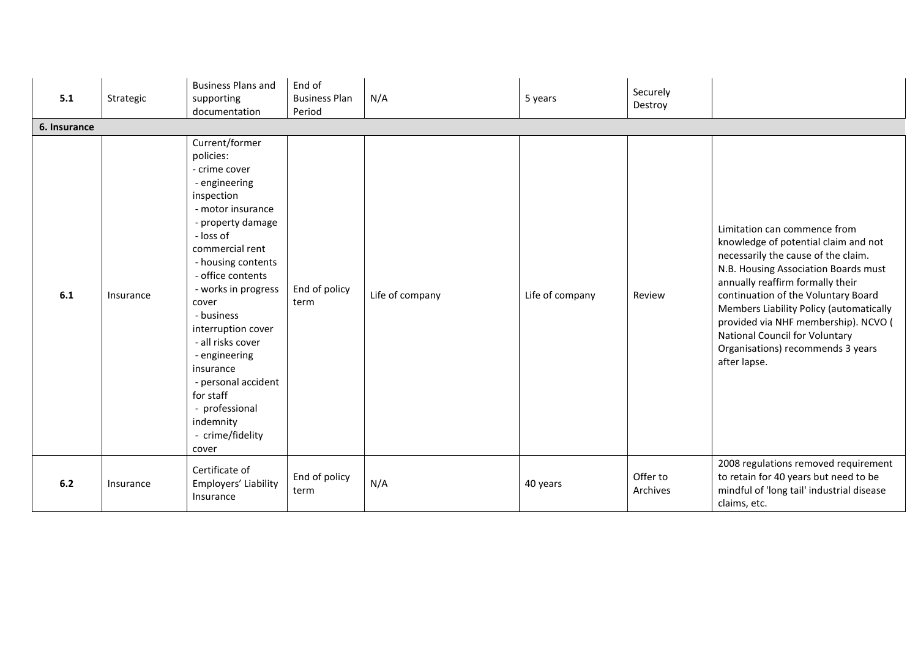| 5.1          | Strategic | <b>Business Plans and</b><br>supporting<br>documentation                                                                                                                                                                                                                                                                                                                                                                | End of<br><b>Business Plan</b><br>Period | N/A             | 5 years         | Securely<br>Destroy  |                                                                                                                                                                                                                                                                                                                                                                                                          |
|--------------|-----------|-------------------------------------------------------------------------------------------------------------------------------------------------------------------------------------------------------------------------------------------------------------------------------------------------------------------------------------------------------------------------------------------------------------------------|------------------------------------------|-----------------|-----------------|----------------------|----------------------------------------------------------------------------------------------------------------------------------------------------------------------------------------------------------------------------------------------------------------------------------------------------------------------------------------------------------------------------------------------------------|
| 6. Insurance |           |                                                                                                                                                                                                                                                                                                                                                                                                                         |                                          |                 |                 |                      |                                                                                                                                                                                                                                                                                                                                                                                                          |
| 6.1          | Insurance | Current/former<br>policies:<br>- crime cover<br>- engineering<br>inspection<br>- motor insurance<br>- property damage<br>- loss of<br>commercial rent<br>- housing contents<br>- office contents<br>- works in progress<br>cover<br>- business<br>interruption cover<br>- all risks cover<br>- engineering<br>insurance<br>- personal accident<br>for staff<br>- professional<br>indemnity<br>- crime/fidelity<br>cover | End of policy<br>term                    | Life of company | Life of company | Review               | Limitation can commence from<br>knowledge of potential claim and not<br>necessarily the cause of the claim.<br>N.B. Housing Association Boards must<br>annually reaffirm formally their<br>continuation of the Voluntary Board<br>Members Liability Policy (automatically<br>provided via NHF membership). NCVO (<br>National Council for Voluntary<br>Organisations) recommends 3 years<br>after lapse. |
| 6.2          | Insurance | Certificate of<br>Employers' Liability<br>Insurance                                                                                                                                                                                                                                                                                                                                                                     | End of policy<br>term                    | N/A             | 40 years        | Offer to<br>Archives | 2008 regulations removed requirement<br>to retain for 40 years but need to be<br>mindful of 'long tail' industrial disease<br>claims, etc.                                                                                                                                                                                                                                                               |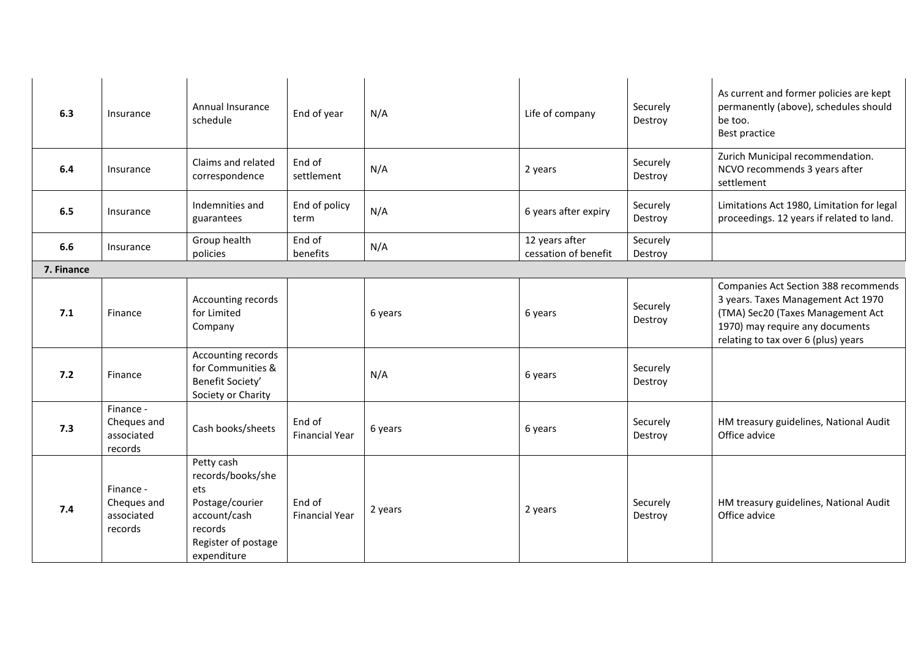| 6.3        | Insurance                                         | Annual Insurance<br>schedule                                                                                               | End of year                     | N/A     | Life of company                        | Securely<br>Destroy | As current and former policies are kept<br>permanently (above), schedules should<br>be too.<br>Best practice                                                                              |
|------------|---------------------------------------------------|----------------------------------------------------------------------------------------------------------------------------|---------------------------------|---------|----------------------------------------|---------------------|-------------------------------------------------------------------------------------------------------------------------------------------------------------------------------------------|
| 6.4        | Insurance                                         | Claims and related<br>correspondence                                                                                       | End of<br>settlement            | N/A     | 2 years                                | Securely<br>Destroy | Zurich Municipal recommendation.<br>NCVO recommends 3 years after<br>settlement                                                                                                           |
| 6.5        | Insurance                                         | Indemnities and<br>guarantees                                                                                              | End of policy<br>term           | N/A     | 6 years after expiry                   | Securely<br>Destroy | Limitations Act 1980, Limitation for legal<br>proceedings. 12 years if related to land.                                                                                                   |
| 6.6        | Insurance                                         | Group health<br>policies                                                                                                   | End of<br>benefits              | N/A     | 12 years after<br>cessation of benefit | Securely<br>Destroy |                                                                                                                                                                                           |
| 7. Finance |                                                   |                                                                                                                            |                                 |         |                                        |                     |                                                                                                                                                                                           |
| 7.1        | Finance                                           | Accounting records<br>for Limited<br>Company                                                                               |                                 | 6 years | 6 years                                | Securely<br>Destroy | Companies Act Section 388 recommends<br>3 years. Taxes Management Act 1970<br>(TMA) Sec20 (Taxes Management Act<br>1970) may require any documents<br>relating to tax over 6 (plus) years |
| 7.2        | Finance                                           | Accounting records<br>for Communities &<br>Benefit Society'<br>Society or Charity                                          |                                 | N/A     | 6 years                                | Securely<br>Destroy |                                                                                                                                                                                           |
| 7.3        | Finance -<br>Cheques and<br>associated<br>records | Cash books/sheets                                                                                                          | End of<br><b>Financial Year</b> | 6 years | 6 years                                | Securely<br>Destroy | HM treasury guidelines, National Audit<br>Office advice                                                                                                                                   |
| 7.4        | Finance -<br>Cheques and<br>associated<br>records | Petty cash<br>records/books/she<br>ets<br>Postage/courier<br>account/cash<br>records<br>Register of postage<br>expenditure | End of<br><b>Financial Year</b> | 2 years | 2 years                                | Securely<br>Destroy | HM treasury guidelines, National Audit<br>Office advice                                                                                                                                   |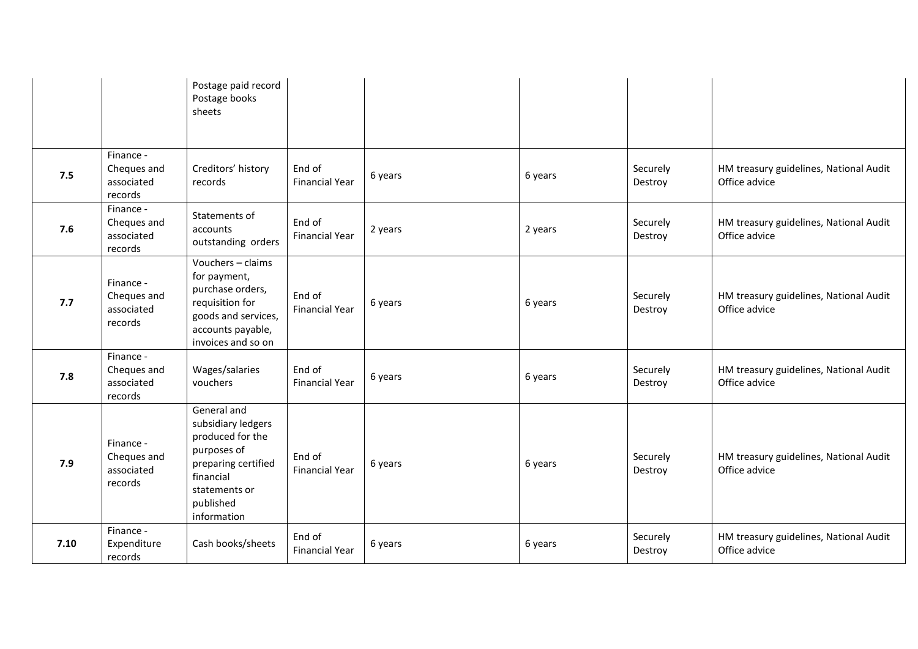|      |                                                   | Postage paid record<br>Postage books<br>sheets                                                                                                        |                                 |         |         |                     |                                                         |
|------|---------------------------------------------------|-------------------------------------------------------------------------------------------------------------------------------------------------------|---------------------------------|---------|---------|---------------------|---------------------------------------------------------|
| 7.5  | Finance -<br>Cheques and<br>associated<br>records | Creditors' history<br>records                                                                                                                         | End of<br><b>Financial Year</b> | 6 years | 6 years | Securely<br>Destroy | HM treasury guidelines, National Audit<br>Office advice |
| 7.6  | Finance -<br>Cheques and<br>associated<br>records | Statements of<br>accounts<br>outstanding orders                                                                                                       | End of<br><b>Financial Year</b> | 2 years | 2 years | Securely<br>Destroy | HM treasury guidelines, National Audit<br>Office advice |
| 7.7  | Finance -<br>Cheques and<br>associated<br>records | Vouchers - claims<br>for payment,<br>purchase orders,<br>requisition for<br>goods and services,<br>accounts payable,<br>invoices and so on            | End of<br><b>Financial Year</b> | 6 years | 6 years | Securely<br>Destroy | HM treasury guidelines, National Audit<br>Office advice |
| 7.8  | Finance -<br>Cheques and<br>associated<br>records | Wages/salaries<br>vouchers                                                                                                                            | End of<br><b>Financial Year</b> | 6 years | 6 years | Securely<br>Destroy | HM treasury guidelines, National Audit<br>Office advice |
| 7.9  | Finance -<br>Cheques and<br>associated<br>records | General and<br>subsidiary ledgers<br>produced for the<br>purposes of<br>preparing certified<br>financial<br>statements or<br>published<br>information | End of<br><b>Financial Year</b> | 6 years | 6 years | Securely<br>Destroy | HM treasury guidelines, National Audit<br>Office advice |
| 7.10 | Finance -<br>Expenditure<br>records               | Cash books/sheets                                                                                                                                     | End of<br><b>Financial Year</b> | 6 years | 6 years | Securely<br>Destroy | HM treasury guidelines, National Audit<br>Office advice |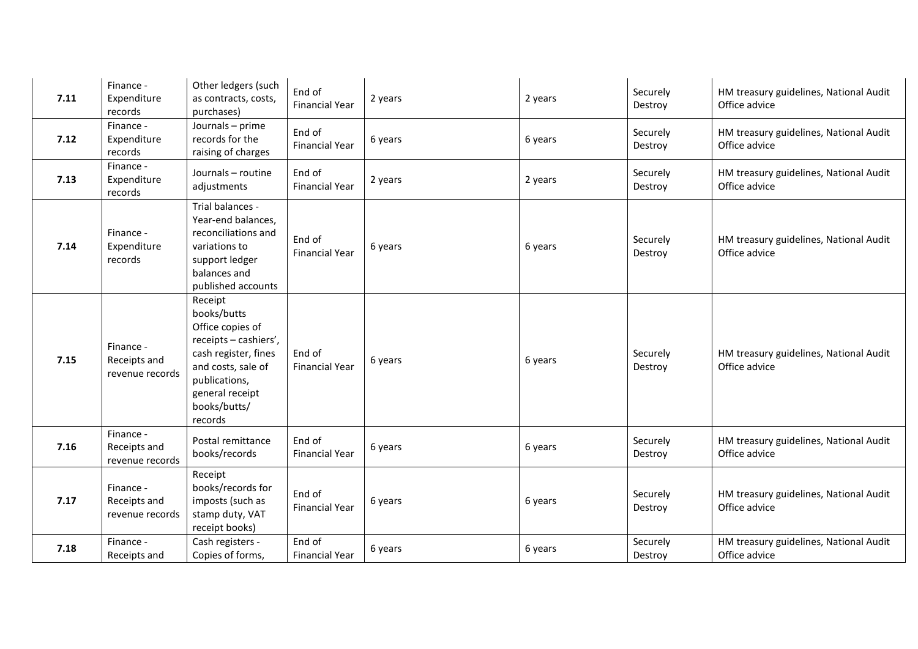| 7.11 | Finance -<br>Expenditure<br>records          | Other ledgers (such<br>as contracts, costs,<br>purchases)                                                                                                                        | End of<br><b>Financial Year</b> | 2 years | 2 years | Securely<br>Destroy | HM treasury guidelines, National Audit<br>Office advice |
|------|----------------------------------------------|----------------------------------------------------------------------------------------------------------------------------------------------------------------------------------|---------------------------------|---------|---------|---------------------|---------------------------------------------------------|
| 7.12 | Finance -<br>Expenditure<br>records          | Journals - prime<br>records for the<br>raising of charges                                                                                                                        | End of<br><b>Financial Year</b> | 6 years | 6 years | Securely<br>Destroy | HM treasury guidelines, National Audit<br>Office advice |
| 7.13 | Finance -<br>Expenditure<br>records          | Journals - routine<br>adjustments                                                                                                                                                | End of<br><b>Financial Year</b> | 2 years | 2 years | Securely<br>Destroy | HM treasury guidelines, National Audit<br>Office advice |
| 7.14 | Finance -<br>Expenditure<br>records          | Trial balances -<br>Year-end balances,<br>reconciliations and<br>variations to<br>support ledger<br>balances and<br>published accounts                                           | End of<br><b>Financial Year</b> | 6 years | 6 years | Securely<br>Destroy | HM treasury guidelines, National Audit<br>Office advice |
| 7.15 | Finance -<br>Receipts and<br>revenue records | Receipt<br>books/butts<br>Office copies of<br>receipts - cashiers',<br>cash register, fines<br>and costs, sale of<br>publications,<br>general receipt<br>books/butts/<br>records | End of<br><b>Financial Year</b> | 6 years | 6 years | Securely<br>Destroy | HM treasury guidelines, National Audit<br>Office advice |
| 7.16 | Finance -<br>Receipts and<br>revenue records | Postal remittance<br>books/records                                                                                                                                               | End of<br><b>Financial Year</b> | 6 years | 6 years | Securely<br>Destroy | HM treasury guidelines, National Audit<br>Office advice |
| 7.17 | Finance -<br>Receipts and<br>revenue records | Receipt<br>books/records for<br>imposts (such as<br>stamp duty, VAT<br>receipt books)                                                                                            | End of<br><b>Financial Year</b> | 6 years | 6 years | Securely<br>Destroy | HM treasury guidelines, National Audit<br>Office advice |
| 7.18 | Finance -<br>Receipts and                    | Cash registers -<br>Copies of forms,                                                                                                                                             | End of<br><b>Financial Year</b> | 6 years | 6 years | Securely<br>Destroy | HM treasury guidelines, National Audit<br>Office advice |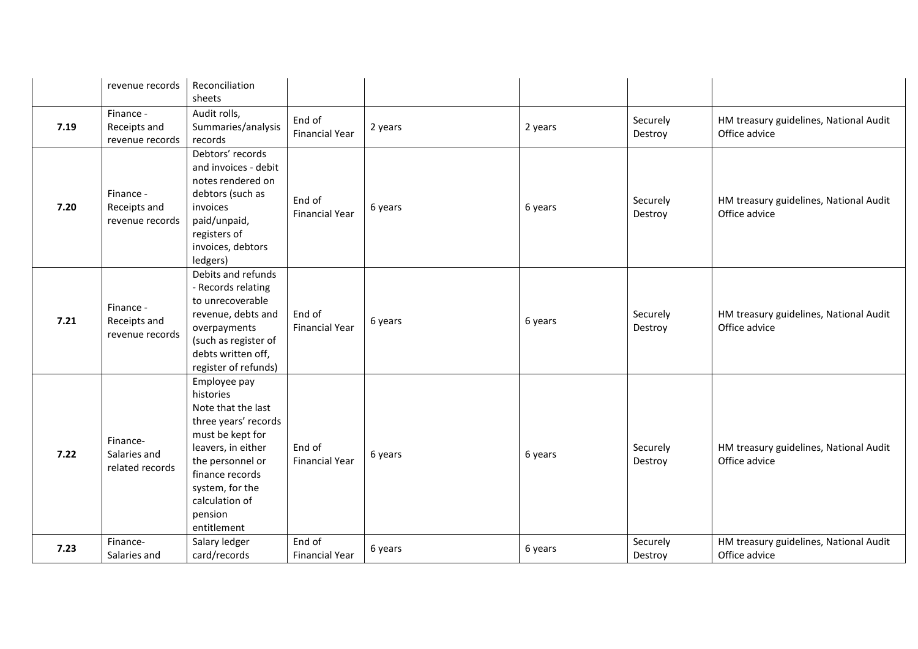|      | revenue records                              | Reconciliation<br>sheets                                                                                                                                                                                                |                                 |         |         |                     |                                                         |
|------|----------------------------------------------|-------------------------------------------------------------------------------------------------------------------------------------------------------------------------------------------------------------------------|---------------------------------|---------|---------|---------------------|---------------------------------------------------------|
| 7.19 | Finance -<br>Receipts and<br>revenue records | Audit rolls,<br>Summaries/analysis<br>records                                                                                                                                                                           | End of<br><b>Financial Year</b> | 2 years | 2 years | Securely<br>Destroy | HM treasury guidelines, National Audit<br>Office advice |
| 7.20 | Finance -<br>Receipts and<br>revenue records | Debtors' records<br>and invoices - debit<br>notes rendered on<br>debtors (such as<br>invoices<br>paid/unpaid,<br>registers of<br>invoices, debtors<br>ledgers)                                                          | End of<br><b>Financial Year</b> | 6 years | 6 years | Securely<br>Destroy | HM treasury guidelines, National Audit<br>Office advice |
| 7.21 | Finance -<br>Receipts and<br>revenue records | Debits and refunds<br>- Records relating<br>to unrecoverable<br>revenue, debts and<br>overpayments<br>(such as register of<br>debts written off,<br>register of refunds)                                                | End of<br><b>Financial Year</b> | 6 years | 6 years | Securely<br>Destroy | HM treasury guidelines, National Audit<br>Office advice |
| 7.22 | Finance-<br>Salaries and<br>related records  | Employee pay<br>histories<br>Note that the last<br>three years' records<br>must be kept for<br>leavers, in either<br>the personnel or<br>finance records<br>system, for the<br>calculation of<br>pension<br>entitlement | End of<br><b>Financial Year</b> | 6 years | 6 years | Securely<br>Destroy | HM treasury guidelines, National Audit<br>Office advice |
| 7.23 | Finance-<br>Salaries and                     | Salary ledger<br>card/records                                                                                                                                                                                           | End of<br><b>Financial Year</b> | 6 years | 6 years | Securely<br>Destroy | HM treasury guidelines, National Audit<br>Office advice |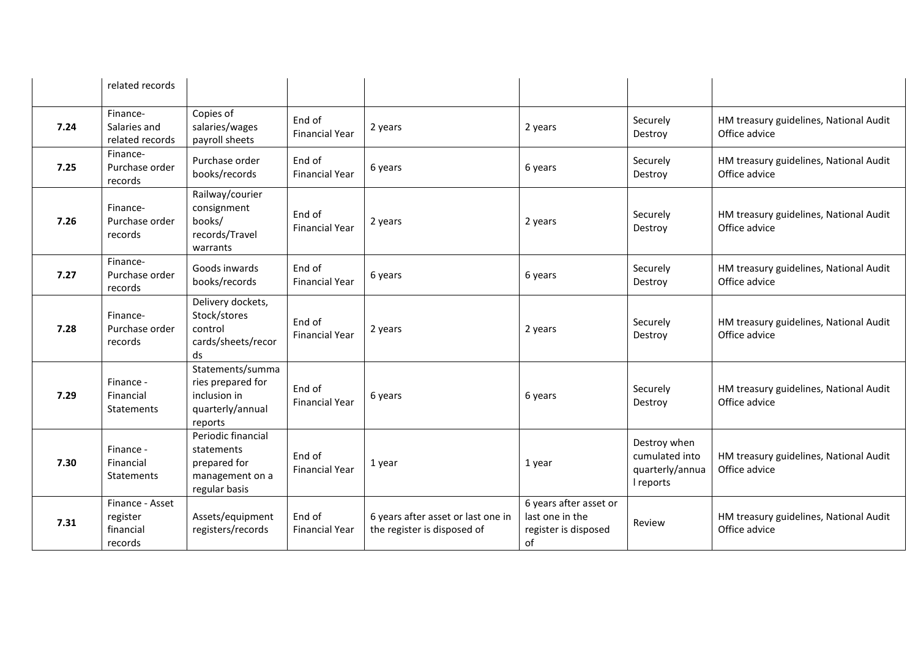|      | related records                                     |                                                                                      |                                 |                                                                   |                                                                         |                                                                |                                                         |
|------|-----------------------------------------------------|--------------------------------------------------------------------------------------|---------------------------------|-------------------------------------------------------------------|-------------------------------------------------------------------------|----------------------------------------------------------------|---------------------------------------------------------|
| 7.24 | Finance-<br>Salaries and<br>related records         | Copies of<br>salaries/wages<br>payroll sheets                                        | End of<br><b>Financial Year</b> | 2 years                                                           | 2 years                                                                 | Securely<br>Destroy                                            | HM treasury guidelines, National Audit<br>Office advice |
| 7.25 | Finance-<br>Purchase order<br>records               | Purchase order<br>books/records                                                      | End of<br><b>Financial Year</b> | 6 years                                                           | 6 years                                                                 | Securely<br>Destroy                                            | HM treasury guidelines, National Audit<br>Office advice |
| 7.26 | Finance-<br>Purchase order<br>records               | Railway/courier<br>consignment<br>books/<br>records/Travel<br>warrants               | End of<br><b>Financial Year</b> | 2 years                                                           | 2 years                                                                 | Securely<br>Destroy                                            | HM treasury guidelines, National Audit<br>Office advice |
| 7.27 | Finance-<br>Purchase order<br>records               | Goods inwards<br>books/records                                                       | End of<br><b>Financial Year</b> | 6 years                                                           | 6 years                                                                 | Securely<br>Destroy                                            | HM treasury guidelines, National Audit<br>Office advice |
| 7.28 | Finance-<br>Purchase order<br>records               | Delivery dockets,<br>Stock/stores<br>control<br>cards/sheets/recor<br>ds             | End of<br><b>Financial Year</b> | 2 years                                                           | 2 years                                                                 | Securely<br>Destroy                                            | HM treasury guidelines, National Audit<br>Office advice |
| 7.29 | Finance -<br>Financial<br><b>Statements</b>         | Statements/summa<br>ries prepared for<br>inclusion in<br>quarterly/annual<br>reports | End of<br><b>Financial Year</b> | 6 years                                                           | 6 years                                                                 | Securely<br>Destroy                                            | HM treasury guidelines, National Audit<br>Office advice |
| 7.30 | Finance -<br>Financial<br>Statements                | Periodic financial<br>statements<br>prepared for<br>management on a<br>regular basis | End of<br><b>Financial Year</b> | 1 year                                                            | 1 year                                                                  | Destroy when<br>cumulated into<br>quarterly/annua<br>I reports | HM treasury guidelines, National Audit<br>Office advice |
| 7.31 | Finance - Asset<br>register<br>financial<br>records | Assets/equipment<br>registers/records                                                | End of<br><b>Financial Year</b> | 6 years after asset or last one in<br>the register is disposed of | 6 years after asset or<br>last one in the<br>register is disposed<br>of | Review                                                         | HM treasury guidelines, National Audit<br>Office advice |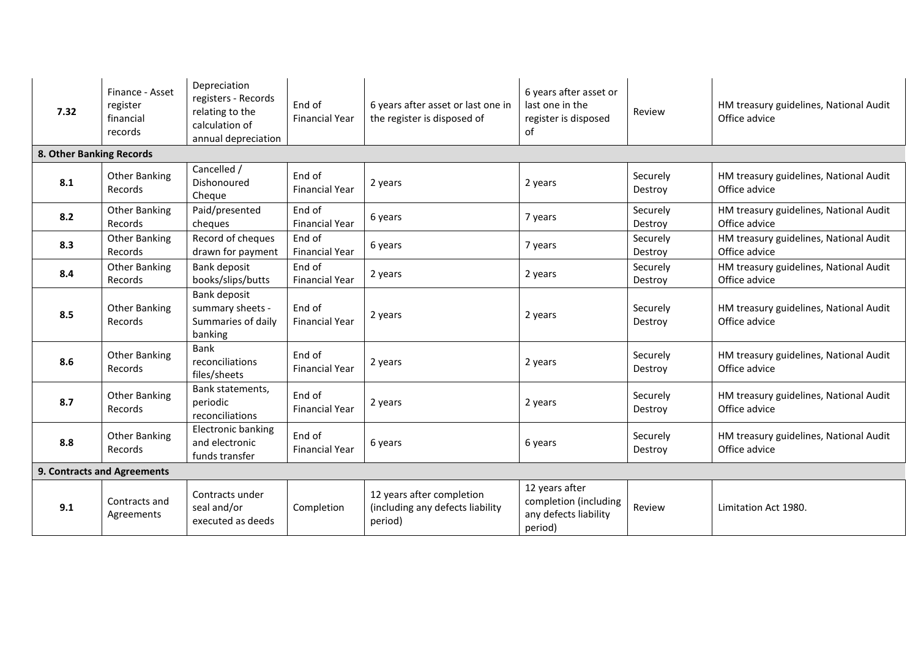| 7.32                     | Finance - Asset<br>register<br>financial<br>records | Depreciation<br>registers - Records<br>relating to the<br>calculation of<br>annual depreciation | End of<br><b>Financial Year</b> | 6 years after asset or last one in<br>the register is disposed of        | 6 years after asset or<br>last one in the<br>register is disposed<br>of     | Review              | HM treasury guidelines, National Audit<br>Office advice |
|--------------------------|-----------------------------------------------------|-------------------------------------------------------------------------------------------------|---------------------------------|--------------------------------------------------------------------------|-----------------------------------------------------------------------------|---------------------|---------------------------------------------------------|
| 8. Other Banking Records |                                                     |                                                                                                 |                                 |                                                                          |                                                                             |                     |                                                         |
| 8.1                      | <b>Other Banking</b><br>Records                     | Cancelled /<br>Dishonoured<br>Cheque                                                            | End of<br><b>Financial Year</b> | 2 years                                                                  | 2 years                                                                     | Securely<br>Destroy | HM treasury guidelines, National Audit<br>Office advice |
| 8.2                      | <b>Other Banking</b><br>Records                     | Paid/presented<br>cheques                                                                       | End of<br><b>Financial Year</b> | 6 years                                                                  | 7 years                                                                     | Securely<br>Destroy | HM treasury guidelines, National Audit<br>Office advice |
| 8.3                      | <b>Other Banking</b><br>Records                     | Record of cheques<br>drawn for payment                                                          | End of<br><b>Financial Year</b> | 6 years                                                                  | 7 years                                                                     | Securely<br>Destroy | HM treasury guidelines, National Audit<br>Office advice |
| 8.4                      | <b>Other Banking</b><br>Records                     | Bank deposit<br>books/slips/butts                                                               | End of<br><b>Financial Year</b> | 2 years                                                                  | 2 years                                                                     | Securely<br>Destroy | HM treasury guidelines, National Audit<br>Office advice |
| 8.5                      | <b>Other Banking</b><br>Records                     | Bank deposit<br>summary sheets -<br>Summaries of daily<br>banking                               | End of<br><b>Financial Year</b> | 2 years                                                                  | 2 years                                                                     | Securely<br>Destroy | HM treasury guidelines, National Audit<br>Office advice |
| 8.6                      | <b>Other Banking</b><br><b>Records</b>              | Bank<br>reconciliations<br>files/sheets                                                         | End of<br><b>Financial Year</b> | 2 years                                                                  | 2 years                                                                     | Securely<br>Destroy | HM treasury guidelines, National Audit<br>Office advice |
| 8.7                      | <b>Other Banking</b><br>Records                     | Bank statements,<br>periodic<br>reconciliations                                                 | End of<br><b>Financial Year</b> | 2 years                                                                  | 2 years                                                                     | Securely<br>Destroy | HM treasury guidelines, National Audit<br>Office advice |
| 8.8                      | <b>Other Banking</b><br>Records                     | <b>Electronic banking</b><br>and electronic<br>funds transfer                                   | End of<br><b>Financial Year</b> | 6 years                                                                  | 6 years                                                                     | Securely<br>Destroy | HM treasury guidelines, National Audit<br>Office advice |
|                          | 9. Contracts and Agreements                         |                                                                                                 |                                 |                                                                          |                                                                             |                     |                                                         |
| 9.1                      | Contracts and<br>Agreements                         | Contracts under<br>seal and/or<br>executed as deeds                                             | Completion                      | 12 years after completion<br>(including any defects liability<br>period) | 12 years after<br>completion (including<br>any defects liability<br>period) | Review              | Limitation Act 1980.                                    |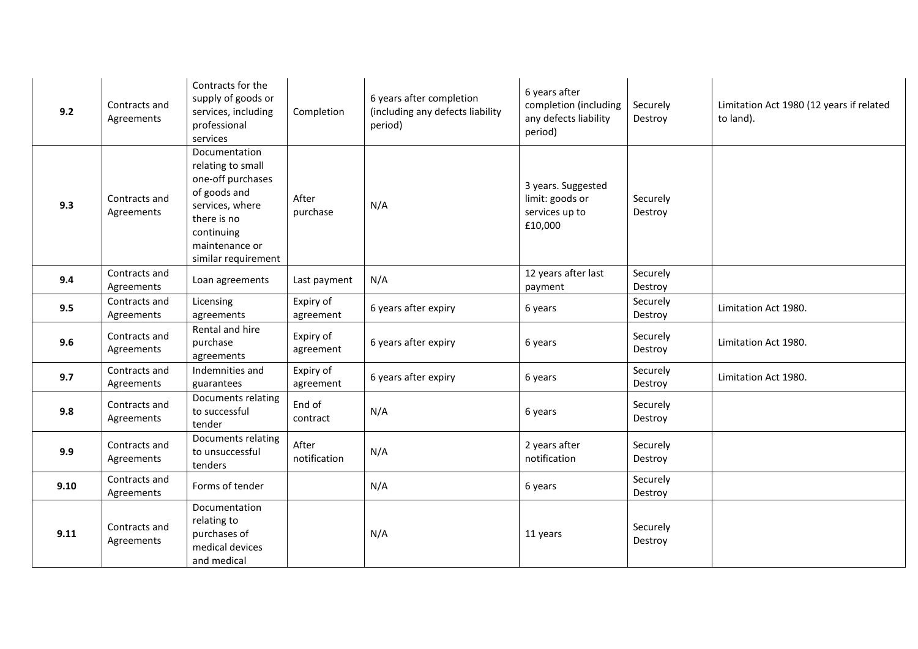| 9.2  | Contracts and<br>Agreements | Contracts for the<br>supply of goods or<br>services, including<br>professional<br>services                                                                       | Completion             | 6 years after completion<br>(including any defects liability<br>period) | 6 years after<br>completion (including<br>any defects liability<br>period) | Securely<br>Destroy | Limitation Act 1980 (12 years if related<br>to land). |
|------|-----------------------------|------------------------------------------------------------------------------------------------------------------------------------------------------------------|------------------------|-------------------------------------------------------------------------|----------------------------------------------------------------------------|---------------------|-------------------------------------------------------|
| 9.3  | Contracts and<br>Agreements | Documentation<br>relating to small<br>one-off purchases<br>of goods and<br>services, where<br>there is no<br>continuing<br>maintenance or<br>similar requirement | After<br>purchase      | N/A                                                                     | 3 years. Suggested<br>limit: goods or<br>services up to<br>£10,000         | Securely<br>Destroy |                                                       |
| 9.4  | Contracts and<br>Agreements | Loan agreements                                                                                                                                                  | Last payment           | N/A                                                                     | 12 years after last<br>payment                                             | Securely<br>Destroy |                                                       |
| 9.5  | Contracts and<br>Agreements | Licensing<br>agreements                                                                                                                                          | Expiry of<br>agreement | 6 years after expiry                                                    | 6 years                                                                    | Securely<br>Destroy | Limitation Act 1980.                                  |
| 9.6  | Contracts and<br>Agreements | Rental and hire<br>purchase<br>agreements                                                                                                                        | Expiry of<br>agreement | 6 years after expiry                                                    | 6 years                                                                    | Securely<br>Destroy | Limitation Act 1980.                                  |
| 9.7  | Contracts and<br>Agreements | Indemnities and<br>guarantees                                                                                                                                    | Expiry of<br>agreement | 6 years after expiry                                                    | 6 years                                                                    | Securely<br>Destroy | Limitation Act 1980.                                  |
| 9.8  | Contracts and<br>Agreements | Documents relating<br>to successful<br>tender                                                                                                                    | End of<br>contract     | N/A                                                                     | 6 years                                                                    | Securely<br>Destroy |                                                       |
| 9.9  | Contracts and<br>Agreements | Documents relating<br>to unsuccessful<br>tenders                                                                                                                 | After<br>notification  | N/A                                                                     | 2 years after<br>notification                                              | Securely<br>Destroy |                                                       |
| 9.10 | Contracts and<br>Agreements | Forms of tender                                                                                                                                                  |                        | N/A                                                                     | 6 years                                                                    | Securely<br>Destroy |                                                       |
| 9.11 | Contracts and<br>Agreements | Documentation<br>relating to<br>purchases of<br>medical devices<br>and medical                                                                                   |                        | N/A                                                                     | 11 years                                                                   | Securely<br>Destroy |                                                       |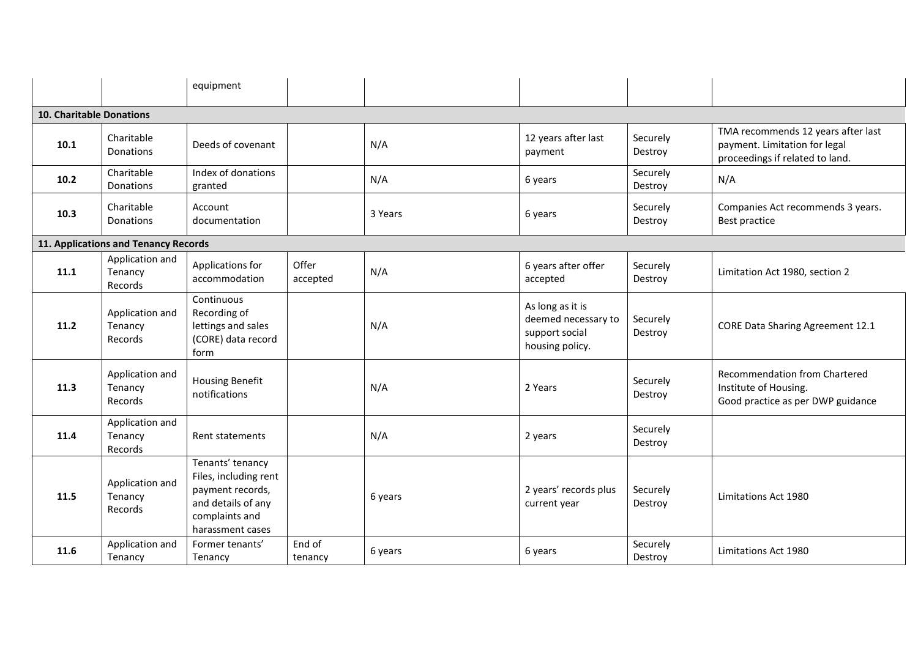|                                      |                                       | equipment                                                                                                                 |                   |         |                                                                              |                     |                                                                                                        |  |  |  |
|--------------------------------------|---------------------------------------|---------------------------------------------------------------------------------------------------------------------------|-------------------|---------|------------------------------------------------------------------------------|---------------------|--------------------------------------------------------------------------------------------------------|--|--|--|
| <b>10. Charitable Donations</b>      |                                       |                                                                                                                           |                   |         |                                                                              |                     |                                                                                                        |  |  |  |
| 10.1                                 | Charitable<br>Donations               | Deeds of covenant                                                                                                         |                   | N/A     | 12 years after last<br>payment                                               | Securely<br>Destroy | TMA recommends 12 years after last<br>payment. Limitation for legal<br>proceedings if related to land. |  |  |  |
| 10.2                                 | Charitable<br>Donations               | Index of donations<br>granted                                                                                             |                   | N/A     | 6 years                                                                      | Securely<br>Destroy | N/A                                                                                                    |  |  |  |
| 10.3                                 | Charitable<br>Donations               | Account<br>documentation                                                                                                  |                   | 3 Years | 6 years                                                                      | Securely<br>Destroy | Companies Act recommends 3 years.<br>Best practice                                                     |  |  |  |
| 11. Applications and Tenancy Records |                                       |                                                                                                                           |                   |         |                                                                              |                     |                                                                                                        |  |  |  |
| 11.1                                 | Application and<br>Tenancy<br>Records | Applications for<br>accommodation                                                                                         | Offer<br>accepted | N/A     | 6 years after offer<br>accepted                                              | Securely<br>Destroy | Limitation Act 1980, section 2                                                                         |  |  |  |
| 11.2                                 | Application and<br>Tenancy<br>Records | Continuous<br>Recording of<br>lettings and sales<br>(CORE) data record<br>form                                            |                   | N/A     | As long as it is<br>deemed necessary to<br>support social<br>housing policy. | Securely<br>Destroy | <b>CORE Data Sharing Agreement 12.1</b>                                                                |  |  |  |
| 11.3                                 | Application and<br>Tenancy<br>Records | <b>Housing Benefit</b><br>notifications                                                                                   |                   | N/A     | 2 Years                                                                      | Securely<br>Destroy | Recommendation from Chartered<br>Institute of Housing.<br>Good practice as per DWP guidance            |  |  |  |
| 11.4                                 | Application and<br>Tenancy<br>Records | Rent statements                                                                                                           |                   | N/A     | 2 years                                                                      | Securely<br>Destroy |                                                                                                        |  |  |  |
| 11.5                                 | Application and<br>Tenancy<br>Records | Tenants' tenancy<br>Files, including rent<br>payment records,<br>and details of any<br>complaints and<br>harassment cases |                   | 6 years | 2 years' records plus<br>current year                                        | Securely<br>Destroy | Limitations Act 1980                                                                                   |  |  |  |
| 11.6                                 | Application and<br>Tenancy            | Former tenants'<br>Tenancy                                                                                                | End of<br>tenancy | 6 years | 6 years                                                                      | Securely<br>Destroy | Limitations Act 1980                                                                                   |  |  |  |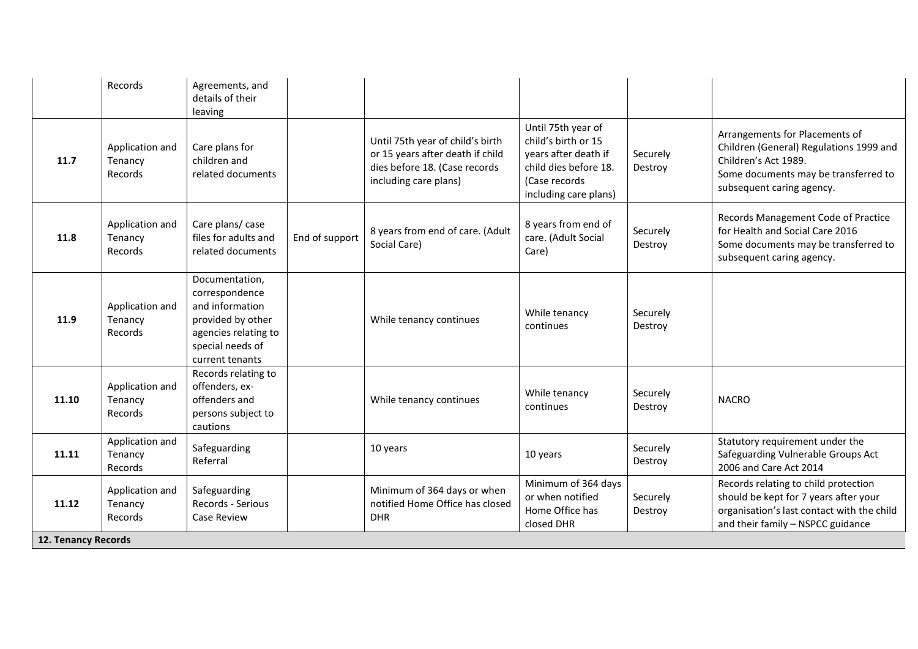|                     | Records                                      | Agreements, and<br>details of their<br>leaving                                                                                          |                |                                                                                                                                |                                                                                                                                      |                     |                                                                                                                                                                        |
|---------------------|----------------------------------------------|-----------------------------------------------------------------------------------------------------------------------------------------|----------------|--------------------------------------------------------------------------------------------------------------------------------|--------------------------------------------------------------------------------------------------------------------------------------|---------------------|------------------------------------------------------------------------------------------------------------------------------------------------------------------------|
| 11.7                | Application and<br>Tenancy<br>Records        | Care plans for<br>children and<br>related documents                                                                                     |                | Until 75th year of child's birth<br>or 15 years after death if child<br>dies before 18. (Case records<br>including care plans) | Until 75th year of<br>child's birth or 15<br>years after death if<br>child dies before 18.<br>(Case records<br>including care plans) | Securely<br>Destroy | Arrangements for Placements of<br>Children (General) Regulations 1999 and<br>Children's Act 1989.<br>Some documents may be transferred to<br>subsequent caring agency. |
| 11.8                | Application and<br>Tenancy<br>Records        | Care plans/case<br>files for adults and<br>related documents                                                                            | End of support | 8 years from end of care. (Adult<br>Social Care)                                                                               | 8 years from end of<br>care. (Adult Social<br>Care)                                                                                  | Securely<br>Destroy | Records Management Code of Practice<br>for Health and Social Care 2016<br>Some documents may be transferred to<br>subsequent caring agency.                            |
| 11.9                | Application and<br>Tenancy<br>Records        | Documentation,<br>correspondence<br>and information<br>provided by other<br>agencies relating to<br>special needs of<br>current tenants |                | While tenancy continues                                                                                                        | While tenancy<br>continues                                                                                                           | Securely<br>Destroy |                                                                                                                                                                        |
| 11.10               | Application and<br>Tenancy<br>Records        | Records relating to<br>offenders, ex-<br>offenders and<br>persons subject to<br>cautions                                                |                | While tenancy continues                                                                                                        | While tenancy<br>continues                                                                                                           | Securely<br>Destroy | <b>NACRO</b>                                                                                                                                                           |
| 11.11               | Application and<br>Tenancy<br>Records        | Safeguarding<br>Referral                                                                                                                |                | 10 years                                                                                                                       | 10 years                                                                                                                             | Securely<br>Destroy | Statutory requirement under the<br>Safeguarding Vulnerable Groups Act<br>2006 and Care Act 2014                                                                        |
| 11.12               | Application and<br>Tenancy<br><b>Records</b> | Safeguarding<br>Records - Serious<br><b>Case Review</b>                                                                                 |                | Minimum of 364 days or when<br>notified Home Office has closed<br><b>DHR</b>                                                   | Minimum of 364 days<br>or when notified<br>Home Office has<br>closed DHR                                                             | Securely<br>Destroy | Records relating to child protection<br>should be kept for 7 years after your<br>organisation's last contact with the child<br>and their family - NSPCC guidance       |
| 12. Tenancy Records |                                              |                                                                                                                                         |                |                                                                                                                                |                                                                                                                                      |                     |                                                                                                                                                                        |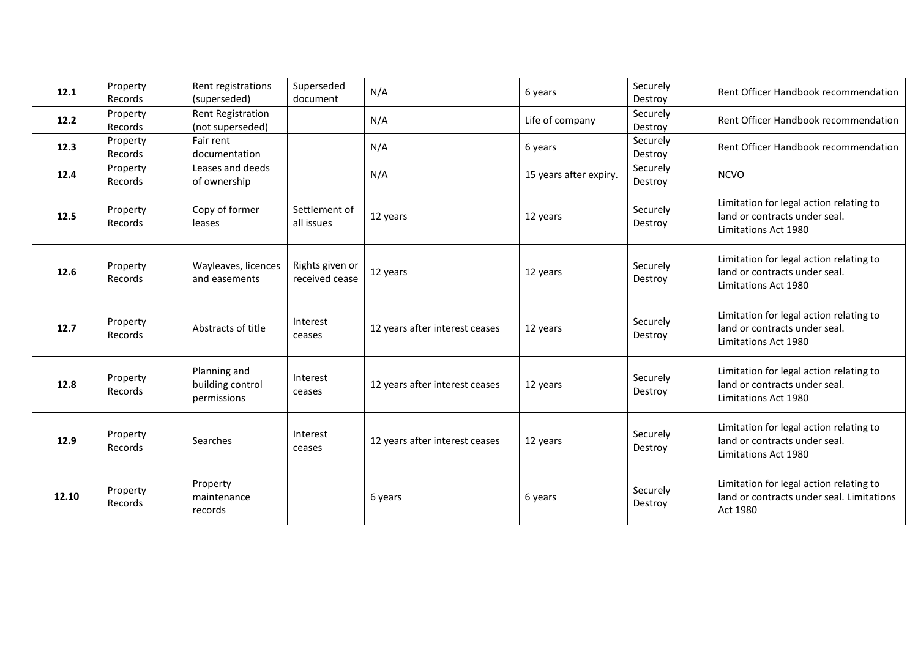| 12.1  | Property<br>Records | Rent registrations<br>(superseded)              | Superseded<br>document            | N/A                            | 6 years                | Securely<br>Destroy | Rent Officer Handbook recommendation                                                             |
|-------|---------------------|-------------------------------------------------|-----------------------------------|--------------------------------|------------------------|---------------------|--------------------------------------------------------------------------------------------------|
| 12.2  | Property<br>Records | Rent Registration<br>(not superseded)           |                                   | N/A                            | Life of company        | Securely<br>Destroy | Rent Officer Handbook recommendation                                                             |
| 12.3  | Property<br>Records | Fair rent<br>documentation                      |                                   | N/A                            | 6 years                | Securely<br>Destroy | Rent Officer Handbook recommendation                                                             |
| 12.4  | Property<br>Records | Leases and deeds<br>of ownership                |                                   | N/A                            | 15 years after expiry. | Securely<br>Destroy | <b>NCVO</b>                                                                                      |
| 12.5  | Property<br>Records | Copy of former<br>leases                        | Settlement of<br>all issues       | 12 years                       | 12 years               | Securely<br>Destroy | Limitation for legal action relating to<br>land or contracts under seal.<br>Limitations Act 1980 |
| 12.6  | Property<br>Records | Wayleaves, licences<br>and easements            | Rights given or<br>received cease | 12 years                       | 12 years               | Securely<br>Destroy | Limitation for legal action relating to<br>land or contracts under seal.<br>Limitations Act 1980 |
| 12.7  | Property<br>Records | Abstracts of title                              | Interest<br>ceases                | 12 years after interest ceases | 12 years               | Securely<br>Destroy | Limitation for legal action relating to<br>land or contracts under seal.<br>Limitations Act 1980 |
| 12.8  | Property<br>Records | Planning and<br>building control<br>permissions | Interest<br>ceases                | 12 years after interest ceases | 12 years               | Securely<br>Destroy | Limitation for legal action relating to<br>land or contracts under seal.<br>Limitations Act 1980 |
| 12.9  | Property<br>Records | Searches                                        | Interest<br>ceases                | 12 years after interest ceases | 12 years               | Securely<br>Destroy | Limitation for legal action relating to<br>land or contracts under seal.<br>Limitations Act 1980 |
| 12.10 | Property<br>Records | Property<br>maintenance<br>records              |                                   | 6 years                        | 6 years                | Securely<br>Destroy | Limitation for legal action relating to<br>land or contracts under seal. Limitations<br>Act 1980 |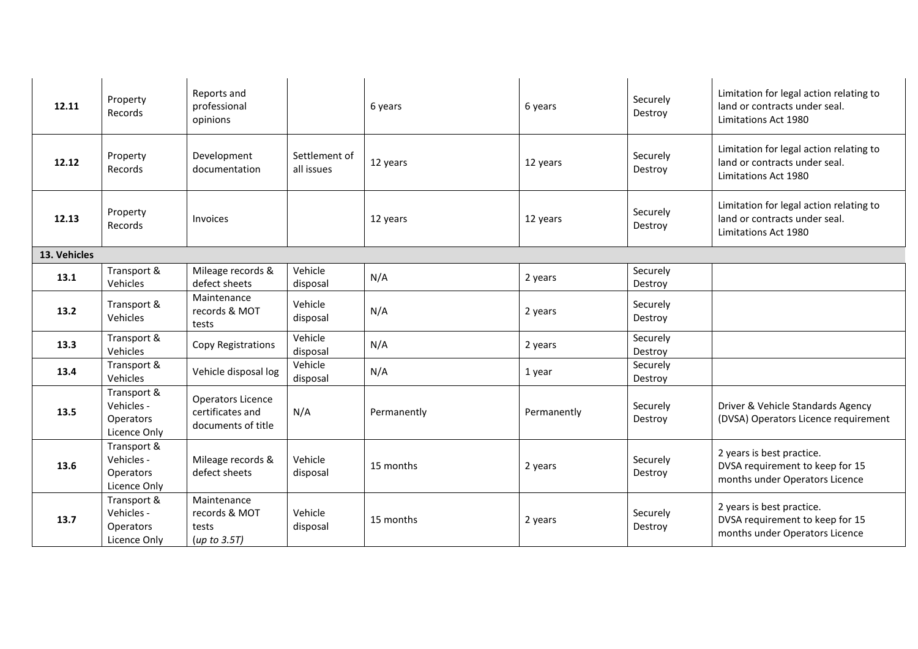| 12.11        | Property<br>Records                                    | Reports and<br>professional<br>opinions                     |                             | 6 years     | 6 years     | Securely<br>Destroy | Limitation for legal action relating to<br>land or contracts under seal.<br>Limitations Act 1980 |
|--------------|--------------------------------------------------------|-------------------------------------------------------------|-----------------------------|-------------|-------------|---------------------|--------------------------------------------------------------------------------------------------|
| 12.12        | Property<br>Records                                    | Development<br>documentation                                | Settlement of<br>all issues | 12 years    | 12 years    | Securely<br>Destroy | Limitation for legal action relating to<br>land or contracts under seal.<br>Limitations Act 1980 |
| 12.13        | Property<br>Records                                    | Invoices                                                    |                             | 12 years    | 12 years    | Securely<br>Destroy | Limitation for legal action relating to<br>land or contracts under seal.<br>Limitations Act 1980 |
| 13. Vehicles |                                                        |                                                             |                             |             |             |                     |                                                                                                  |
| 13.1         | Transport &<br>Vehicles                                | Mileage records &<br>defect sheets                          | Vehicle<br>disposal         | N/A         | 2 years     | Securely<br>Destroy |                                                                                                  |
| 13.2         | Transport &<br>Vehicles                                | Maintenance<br>records & MOT<br>tests                       | Vehicle<br>disposal         | N/A         | 2 years     | Securely<br>Destroy |                                                                                                  |
| 13.3         | Transport &<br>Vehicles                                | Copy Registrations                                          | Vehicle<br>disposal         | N/A         | 2 years     | Securely<br>Destroy |                                                                                                  |
| 13.4         | Transport &<br>Vehicles                                | Vehicle disposal log                                        | Vehicle<br>disposal         | N/A         | 1 year      | Securely<br>Destroy |                                                                                                  |
| 13.5         | Transport &<br>Vehicles -<br>Operators<br>Licence Only | Operators Licence<br>certificates and<br>documents of title | N/A                         | Permanently | Permanently | Securely<br>Destroy | Driver & Vehicle Standards Agency<br>(DVSA) Operators Licence requirement                        |
| 13.6         | Transport &<br>Vehicles -<br>Operators<br>Licence Only | Mileage records &<br>defect sheets                          | Vehicle<br>disposal         | 15 months   | 2 years     | Securely<br>Destroy | 2 years is best practice.<br>DVSA requirement to keep for 15<br>months under Operators Licence   |
| 13.7         | Transport &<br>Vehicles -<br>Operators<br>Licence Only | Maintenance<br>records & MOT<br>tests<br>(up to 3.5T)       | Vehicle<br>disposal         | 15 months   | 2 years     | Securely<br>Destroy | 2 years is best practice.<br>DVSA requirement to keep for 15<br>months under Operators Licence   |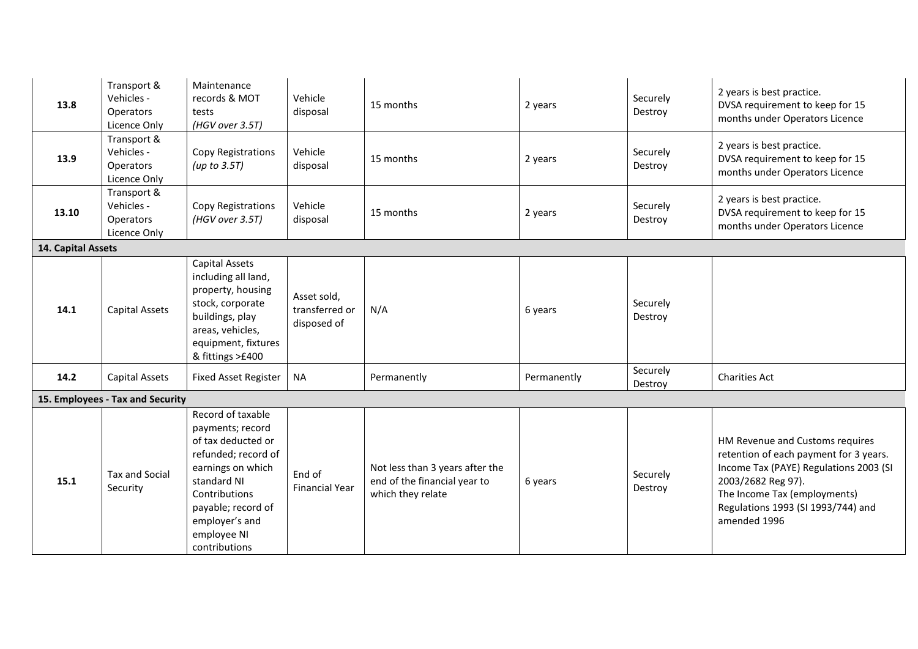| 13.8               | Transport &<br>Vehicles -<br>Operators<br>Licence Only | Maintenance<br>records & MOT<br>tests<br>(HGV over 3.5T)                                                                                                                                                        | Vehicle<br>disposal                          | 15 months                                                                            | 2 years     | Securely<br>Destroy | 2 years is best practice.<br>DVSA requirement to keep for 15<br>months under Operators Licence                                                                                                                                  |
|--------------------|--------------------------------------------------------|-----------------------------------------------------------------------------------------------------------------------------------------------------------------------------------------------------------------|----------------------------------------------|--------------------------------------------------------------------------------------|-------------|---------------------|---------------------------------------------------------------------------------------------------------------------------------------------------------------------------------------------------------------------------------|
| 13.9               | Transport &<br>Vehicles -<br>Operators<br>Licence Only | Copy Registrations<br>(up to 3.5T)                                                                                                                                                                              | Vehicle<br>disposal                          | 15 months                                                                            | 2 years     | Securely<br>Destroy | 2 years is best practice.<br>DVSA requirement to keep for 15<br>months under Operators Licence                                                                                                                                  |
| 13.10              | Transport &<br>Vehicles -<br>Operators<br>Licence Only | Copy Registrations<br>(HGV over 3.5T)                                                                                                                                                                           | Vehicle<br>disposal                          | 15 months                                                                            | 2 years     | Securely<br>Destroy | 2 years is best practice.<br>DVSA requirement to keep for 15<br>months under Operators Licence                                                                                                                                  |
| 14. Capital Assets |                                                        |                                                                                                                                                                                                                 |                                              |                                                                                      |             |                     |                                                                                                                                                                                                                                 |
| 14.1               | <b>Capital Assets</b>                                  | Capital Assets<br>including all land,<br>property, housing<br>stock, corporate<br>buildings, play<br>areas, vehicles,<br>equipment, fixtures<br>& fittings >£400                                                | Asset sold,<br>transferred or<br>disposed of | N/A                                                                                  | 6 years     | Securely<br>Destroy |                                                                                                                                                                                                                                 |
| 14.2               | Capital Assets                                         | <b>Fixed Asset Register</b>                                                                                                                                                                                     | <b>NA</b>                                    | Permanently                                                                          | Permanently | Securely<br>Destroy | <b>Charities Act</b>                                                                                                                                                                                                            |
|                    | 15. Employees - Tax and Security                       |                                                                                                                                                                                                                 |                                              |                                                                                      |             |                     |                                                                                                                                                                                                                                 |
| 15.1               | <b>Tax and Social</b><br>Security                      | Record of taxable<br>payments; record<br>of tax deducted or<br>refunded; record of<br>earnings on which<br>standard NI<br>Contributions<br>payable; record of<br>employer's and<br>employee NI<br>contributions | End of<br><b>Financial Year</b>              | Not less than 3 years after the<br>end of the financial year to<br>which they relate | 6 years     | Securely<br>Destroy | HM Revenue and Customs requires<br>retention of each payment for 3 years.<br>Income Tax (PAYE) Regulations 2003 (SI<br>2003/2682 Reg 97).<br>The Income Tax (employments)<br>Regulations 1993 (SI 1993/744) and<br>amended 1996 |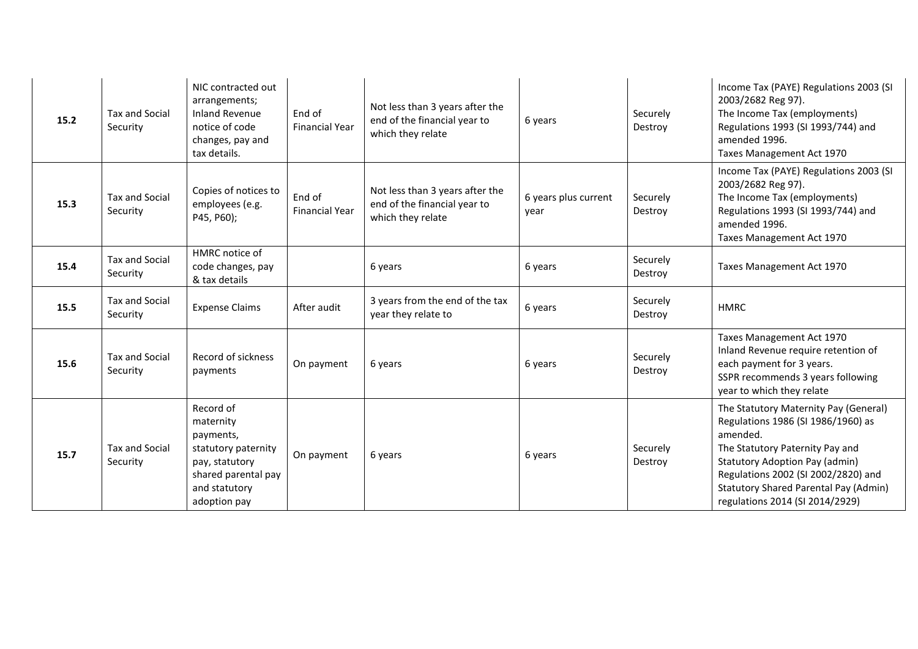| 15.2 | <b>Tax and Social</b><br>Security | NIC contracted out<br>arrangements;<br><b>Inland Revenue</b><br>notice of code<br>changes, pay and<br>tax details.                   | End of<br><b>Financial Year</b> | Not less than 3 years after the<br>end of the financial year to<br>which they relate | 6 years                      | Securely<br>Destroy | Income Tax (PAYE) Regulations 2003 (SI<br>2003/2682 Reg 97).<br>The Income Tax (employments)<br>Regulations 1993 (SI 1993/744) and<br>amended 1996.<br>Taxes Management Act 1970                                                                                                              |
|------|-----------------------------------|--------------------------------------------------------------------------------------------------------------------------------------|---------------------------------|--------------------------------------------------------------------------------------|------------------------------|---------------------|-----------------------------------------------------------------------------------------------------------------------------------------------------------------------------------------------------------------------------------------------------------------------------------------------|
| 15.3 | Tax and Social<br>Security        | Copies of notices to<br>employees (e.g.<br>P45, P60);                                                                                | End of<br><b>Financial Year</b> | Not less than 3 years after the<br>end of the financial year to<br>which they relate | 6 years plus current<br>year | Securely<br>Destroy | Income Tax (PAYE) Regulations 2003 (SI<br>2003/2682 Reg 97).<br>The Income Tax (employments)<br>Regulations 1993 (SI 1993/744) and<br>amended 1996.<br>Taxes Management Act 1970                                                                                                              |
| 15.4 | <b>Tax and Social</b><br>Security | HMRC notice of<br>code changes, pay<br>& tax details                                                                                 |                                 | 6 years                                                                              | 6 years                      | Securely<br>Destroy | Taxes Management Act 1970                                                                                                                                                                                                                                                                     |
| 15.5 | <b>Tax and Social</b><br>Security | <b>Expense Claims</b>                                                                                                                | After audit                     | 3 years from the end of the tax<br>year they relate to                               | 6 years                      | Securely<br>Destroy | <b>HMRC</b>                                                                                                                                                                                                                                                                                   |
| 15.6 | <b>Tax and Social</b><br>Security | Record of sickness<br>payments                                                                                                       | On payment                      | 6 years                                                                              | 6 years                      | Securely<br>Destroy | Taxes Management Act 1970<br>Inland Revenue require retention of<br>each payment for 3 years.<br>SSPR recommends 3 years following<br>year to which they relate                                                                                                                               |
| 15.7 | Tax and Social<br>Security        | Record of<br>maternity<br>payments,<br>statutory paternity<br>pay, statutory<br>shared parental pay<br>and statutory<br>adoption pay | On payment                      | 6 years                                                                              | 6 years                      | Securely<br>Destroy | The Statutory Maternity Pay (General)<br>Regulations 1986 (SI 1986/1960) as<br>amended.<br>The Statutory Paternity Pay and<br><b>Statutory Adoption Pay (admin)</b><br>Regulations 2002 (SI 2002/2820) and<br><b>Statutory Shared Parental Pay (Admin)</b><br>regulations 2014 (SI 2014/2929) |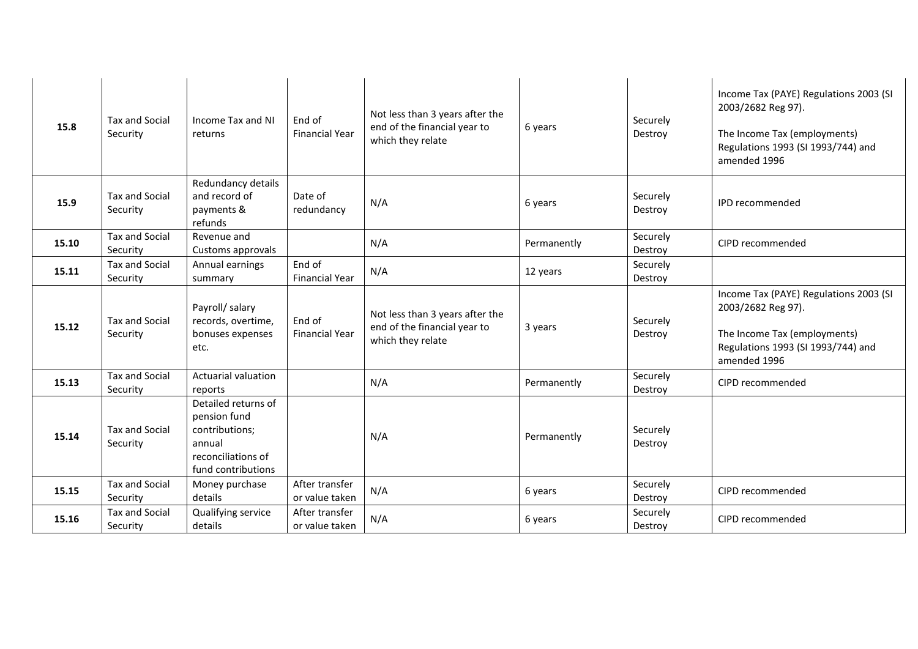| 15.8  | Tax and Social<br>Security        | Income Tax and NI<br>returns                                                                                | End of<br><b>Financial Year</b>  | Not less than 3 years after the<br>end of the financial year to<br>which they relate | 6 years     | Securely<br>Destroy | Income Tax (PAYE) Regulations 2003 (SI<br>2003/2682 Reg 97).<br>The Income Tax (employments)<br>Regulations 1993 (SI 1993/744) and<br>amended 1996 |
|-------|-----------------------------------|-------------------------------------------------------------------------------------------------------------|----------------------------------|--------------------------------------------------------------------------------------|-------------|---------------------|----------------------------------------------------------------------------------------------------------------------------------------------------|
| 15.9  | Tax and Social<br>Security        | Redundancy details<br>and record of<br>payments &<br>refunds                                                | Date of<br>redundancy            | N/A                                                                                  | 6 years     | Securely<br>Destroy | <b>IPD</b> recommended                                                                                                                             |
| 15.10 | Tax and Social<br>Security        | Revenue and<br>Customs approvals                                                                            |                                  | N/A                                                                                  | Permanently | Securely<br>Destroy | CIPD recommended                                                                                                                                   |
| 15.11 | <b>Tax and Social</b><br>Security | Annual earnings<br>summary                                                                                  | End of<br><b>Financial Year</b>  | N/A                                                                                  | 12 years    | Securely<br>Destroy |                                                                                                                                                    |
| 15.12 | Tax and Social<br>Security        | Payroll/ salary<br>records, overtime,<br>bonuses expenses<br>etc.                                           | End of<br><b>Financial Year</b>  | Not less than 3 years after the<br>end of the financial year to<br>which they relate | 3 years     | Securely<br>Destroy | Income Tax (PAYE) Regulations 2003 (SI<br>2003/2682 Reg 97).<br>The Income Tax (employments)<br>Regulations 1993 (SI 1993/744) and<br>amended 1996 |
| 15.13 | <b>Tax and Social</b><br>Security | <b>Actuarial valuation</b><br>reports                                                                       |                                  | N/A                                                                                  | Permanently | Securely<br>Destroy | CIPD recommended                                                                                                                                   |
| 15.14 | <b>Tax and Social</b><br>Security | Detailed returns of<br>pension fund<br>contributions;<br>annual<br>reconciliations of<br>fund contributions |                                  | N/A                                                                                  | Permanently | Securely<br>Destroy |                                                                                                                                                    |
| 15.15 | <b>Tax and Social</b><br>Security | Money purchase<br>details                                                                                   | After transfer<br>or value taken | N/A                                                                                  | 6 years     | Securely<br>Destroy | CIPD recommended                                                                                                                                   |
| 15.16 | Tax and Social<br>Security        | Qualifying service<br>details                                                                               | After transfer<br>or value taken | N/A                                                                                  | 6 years     | Securely<br>Destroy | CIPD recommended                                                                                                                                   |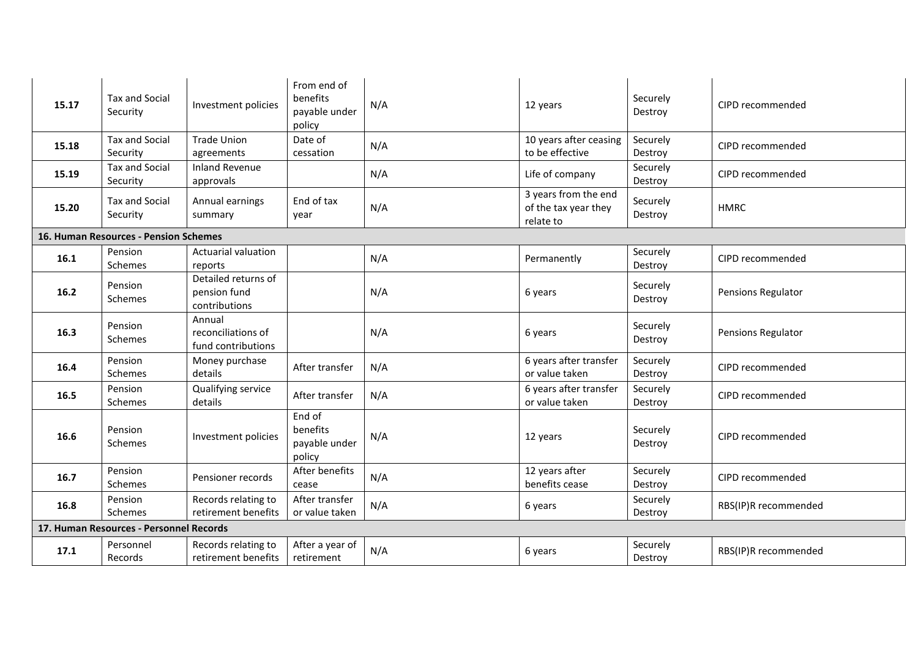| 15.17  | <b>Tax and Social</b><br>Security       | Investment policies                                  | From end of<br>benefits<br>payable under<br>policy | N/A | 12 years                                                  | Securely<br>Destroy | CIPD recommended     |
|--------|-----------------------------------------|------------------------------------------------------|----------------------------------------------------|-----|-----------------------------------------------------------|---------------------|----------------------|
| 15.18  | <b>Tax and Social</b><br>Security       | <b>Trade Union</b><br>agreements                     | Date of<br>cessation                               | N/A | 10 years after ceasing<br>to be effective                 | Securely<br>Destroy | CIPD recommended     |
| 15.19  | <b>Tax and Social</b><br>Security       | <b>Inland Revenue</b><br>approvals                   |                                                    | N/A | Life of company                                           | Securely<br>Destroy | CIPD recommended     |
| 15.20  | <b>Tax and Social</b><br>Security       | Annual earnings<br>summary                           | End of tax<br>vear                                 | N/A | 3 years from the end<br>of the tax year they<br>relate to | Securely<br>Destroy | <b>HMRC</b>          |
|        | 16. Human Resources - Pension Schemes   |                                                      |                                                    |     |                                                           |                     |                      |
| 16.1   | Pension<br>Schemes                      | <b>Actuarial valuation</b><br>reports                |                                                    | N/A | Permanently                                               | Securely<br>Destroy | CIPD recommended     |
| $16.2$ | Pension<br>Schemes                      | Detailed returns of<br>pension fund<br>contributions |                                                    | N/A | 6 years                                                   | Securely<br>Destroy | Pensions Regulator   |
| 16.3   | Pension<br>Schemes                      | Annual<br>reconciliations of<br>fund contributions   |                                                    | N/A | 6 years                                                   | Securely<br>Destroy | Pensions Regulator   |
| 16.4   | Pension<br>Schemes                      | Money purchase<br>details                            | After transfer                                     | N/A | 6 years after transfer<br>or value taken                  | Securely<br>Destroy | CIPD recommended     |
| 16.5   | Pension<br>Schemes                      | Qualifying service<br>details                        | After transfer                                     | N/A | 6 years after transfer<br>or value taken                  | Securely<br>Destroy | CIPD recommended     |
| 16.6   | Pension<br>Schemes                      | Investment policies                                  | End of<br>benefits<br>payable under<br>policy      | N/A | 12 years                                                  | Securely<br>Destroy | CIPD recommended     |
| 16.7   | Pension<br>Schemes                      | Pensioner records                                    | After benefits<br>cease                            | N/A | 12 years after<br>benefits cease                          | Securely<br>Destroy | CIPD recommended     |
| 16.8   | Pension<br>Schemes                      | Records relating to<br>retirement benefits           | After transfer<br>or value taken                   | N/A | 6 years                                                   | Securely<br>Destroy | RBS(IP)R recommended |
|        | 17. Human Resources - Personnel Records |                                                      |                                                    |     |                                                           |                     |                      |
| 17.1   | Personnel<br>Records                    | Records relating to<br>retirement benefits           | After a year of<br>retirement                      | N/A | 6 years                                                   | Securely<br>Destroy | RBS(IP)R recommended |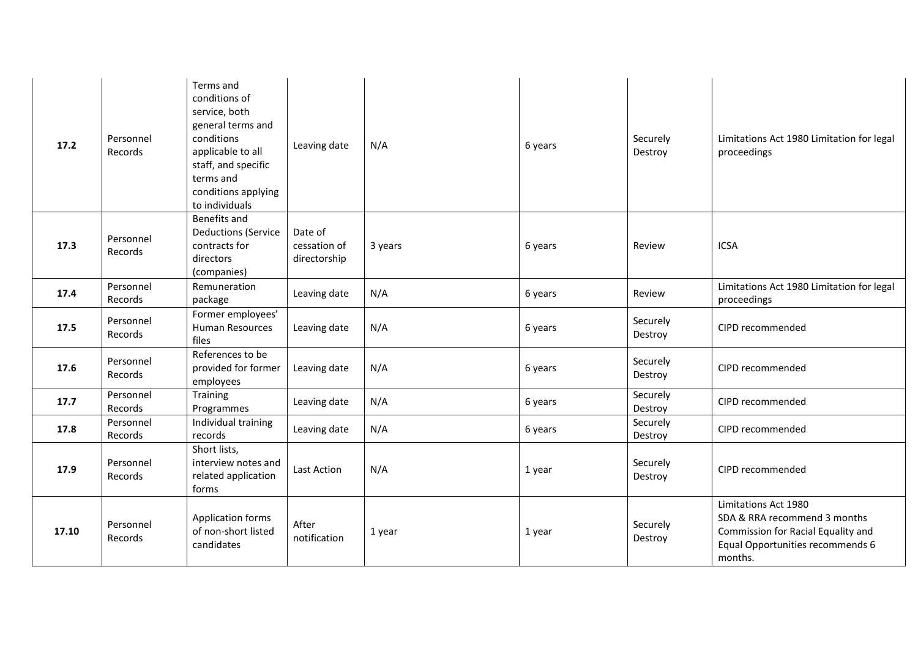| 17.2  | Personnel<br>Records | Terms and<br>conditions of<br>service, both<br>general terms and<br>conditions<br>applicable to all<br>staff, and specific<br>terms and<br>conditions applying<br>to individuals | Leaving date                            | N/A     | 6 years | Securely<br>Destroy | Limitations Act 1980 Limitation for legal<br>proceedings                                                                                  |
|-------|----------------------|----------------------------------------------------------------------------------------------------------------------------------------------------------------------------------|-----------------------------------------|---------|---------|---------------------|-------------------------------------------------------------------------------------------------------------------------------------------|
| 17.3  | Personnel<br>Records | Benefits and<br><b>Deductions (Service</b><br>contracts for<br>directors<br>(companies)                                                                                          | Date of<br>cessation of<br>directorship | 3 years | 6 years | Review              | <b>ICSA</b>                                                                                                                               |
| 17.4  | Personnel<br>Records | Remuneration<br>package                                                                                                                                                          | Leaving date                            | N/A     | 6 years | Review              | Limitations Act 1980 Limitation for legal<br>proceedings                                                                                  |
| 17.5  | Personnel<br>Records | Former employees'<br>Human Resources<br>files                                                                                                                                    | Leaving date                            | N/A     | 6 years | Securely<br>Destroy | CIPD recommended                                                                                                                          |
| 17.6  | Personnel<br>Records | References to be<br>provided for former<br>employees                                                                                                                             | Leaving date                            | N/A     | 6 years | Securely<br>Destroy | CIPD recommended                                                                                                                          |
| 17.7  | Personnel<br>Records | Training<br>Programmes                                                                                                                                                           | Leaving date                            | N/A     | 6 years | Securely<br>Destroy | CIPD recommended                                                                                                                          |
| 17.8  | Personnel<br>Records | Individual training<br>records                                                                                                                                                   | Leaving date                            | N/A     | 6 years | Securely<br>Destroy | CIPD recommended                                                                                                                          |
| 17.9  | Personnel<br>Records | Short lists,<br>interview notes and<br>related application<br>forms                                                                                                              | <b>Last Action</b>                      | N/A     | 1 year  | Securely<br>Destroy | CIPD recommended                                                                                                                          |
| 17.10 | Personnel<br>Records | <b>Application forms</b><br>of non-short listed<br>candidates                                                                                                                    | After<br>notification                   | 1 year  | 1 year  | Securely<br>Destroy | Limitations Act 1980<br>SDA & RRA recommend 3 months<br>Commission for Racial Equality and<br>Equal Opportunities recommends 6<br>months. |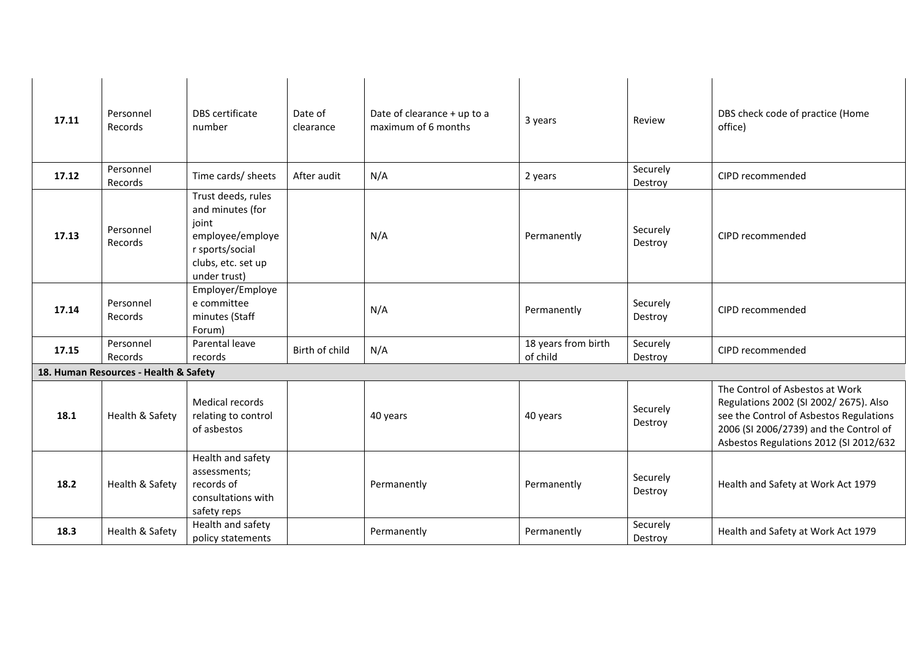| 17.11 | Personnel<br>Records                  | <b>DBS</b> certificate<br>number                                                                                             | Date of<br>clearance | Date of clearance + up to a<br>maximum of 6 months | 3 years                         | Review              | DBS check code of practice (Home<br>office)                                                                                                                                                             |
|-------|---------------------------------------|------------------------------------------------------------------------------------------------------------------------------|----------------------|----------------------------------------------------|---------------------------------|---------------------|---------------------------------------------------------------------------------------------------------------------------------------------------------------------------------------------------------|
| 17.12 | Personnel<br>Records                  | Time cards/ sheets                                                                                                           | After audit          | N/A                                                | 2 years                         | Securely<br>Destroy | CIPD recommended                                                                                                                                                                                        |
| 17.13 | Personnel<br>Records                  | Trust deeds, rules<br>and minutes (for<br>joint<br>employee/employe<br>r sports/social<br>clubs, etc. set up<br>under trust) |                      | N/A                                                | Permanently                     | Securely<br>Destroy | CIPD recommended                                                                                                                                                                                        |
| 17.14 | Personnel<br>Records                  | Employer/Employe<br>e committee<br>minutes (Staff<br>Forum)                                                                  |                      | N/A                                                | Permanently                     | Securely<br>Destroy | CIPD recommended                                                                                                                                                                                        |
| 17.15 | Personnel<br>Records                  | Parental leave<br>records                                                                                                    | Birth of child       | N/A                                                | 18 years from birth<br>of child | Securely<br>Destroy | CIPD recommended                                                                                                                                                                                        |
|       | 18. Human Resources - Health & Safety |                                                                                                                              |                      |                                                    |                                 |                     |                                                                                                                                                                                                         |
| 18.1  | Health & Safety                       | Medical records<br>relating to control<br>of asbestos                                                                        |                      | 40 years                                           | 40 years                        | Securely<br>Destroy | The Control of Asbestos at Work<br>Regulations 2002 (SI 2002/2675). Also<br>see the Control of Asbestos Regulations<br>2006 (SI 2006/2739) and the Control of<br>Asbestos Regulations 2012 (SI 2012/632 |
| 18.2  | Health & Safety                       | Health and safety<br>assessments;<br>records of<br>consultations with<br>safety reps                                         |                      | Permanently                                        | Permanently                     | Securely<br>Destroy | Health and Safety at Work Act 1979                                                                                                                                                                      |
| 18.3  | Health & Safety                       | Health and safety<br>policy statements                                                                                       |                      | Permanently                                        | Permanently                     | Securely<br>Destroy | Health and Safety at Work Act 1979                                                                                                                                                                      |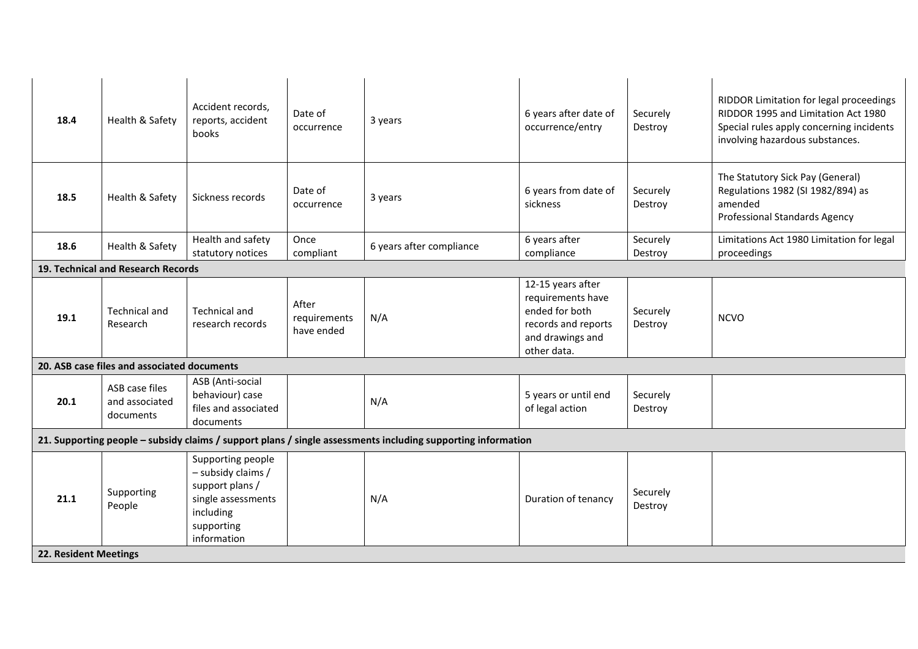| 18.4                                                                                                         | Health & Safety                               | Accident records,<br>reports, accident<br>books                                                                            | Date of<br>occurrence               | 3 years                  | 6 years after date of<br>occurrence/entry                                                                          | Securely<br>Destroy | RIDDOR Limitation for legal proceedings<br>RIDDOR 1995 and Limitation Act 1980<br>Special rules apply concerning incidents<br>involving hazardous substances. |  |
|--------------------------------------------------------------------------------------------------------------|-----------------------------------------------|----------------------------------------------------------------------------------------------------------------------------|-------------------------------------|--------------------------|--------------------------------------------------------------------------------------------------------------------|---------------------|---------------------------------------------------------------------------------------------------------------------------------------------------------------|--|
| 18.5                                                                                                         | Health & Safety                               | Sickness records                                                                                                           | Date of<br>occurrence               | 3 years                  | 6 years from date of<br>sickness                                                                                   | Securely<br>Destroy | The Statutory Sick Pay (General)<br>Regulations 1982 (SI 1982/894) as<br>amended<br><b>Professional Standards Agency</b>                                      |  |
| 18.6                                                                                                         | Health & Safety                               | Health and safety<br>statutory notices                                                                                     | Once<br>compliant                   | 6 years after compliance | 6 years after<br>compliance                                                                                        | Securely<br>Destroy | Limitations Act 1980 Limitation for legal<br>proceedings                                                                                                      |  |
|                                                                                                              | 19. Technical and Research Records            |                                                                                                                            |                                     |                          |                                                                                                                    |                     |                                                                                                                                                               |  |
| 19.1                                                                                                         | Technical and<br>Research                     | <b>Technical and</b><br>research records                                                                                   | After<br>requirements<br>have ended | N/A                      | 12-15 years after<br>requirements have<br>ended for both<br>records and reports<br>and drawings and<br>other data. | Securely<br>Destroy | <b>NCVO</b>                                                                                                                                                   |  |
|                                                                                                              | 20. ASB case files and associated documents   |                                                                                                                            |                                     |                          |                                                                                                                    |                     |                                                                                                                                                               |  |
| 20.1                                                                                                         | ASB case files<br>and associated<br>documents | ASB (Anti-social<br>behaviour) case<br>files and associated<br>documents                                                   |                                     | N/A                      | 5 years or until end<br>of legal action                                                                            | Securely<br>Destroy |                                                                                                                                                               |  |
| 21. Supporting people - subsidy claims / support plans / single assessments including supporting information |                                               |                                                                                                                            |                                     |                          |                                                                                                                    |                     |                                                                                                                                                               |  |
| 21.1                                                                                                         | Supporting<br>People                          | Supporting people<br>- subsidy claims /<br>support plans /<br>single assessments<br>including<br>supporting<br>information |                                     | N/A                      | Duration of tenancy                                                                                                | Securely<br>Destroy |                                                                                                                                                               |  |
| 22. Resident Meetings                                                                                        |                                               |                                                                                                                            |                                     |                          |                                                                                                                    |                     |                                                                                                                                                               |  |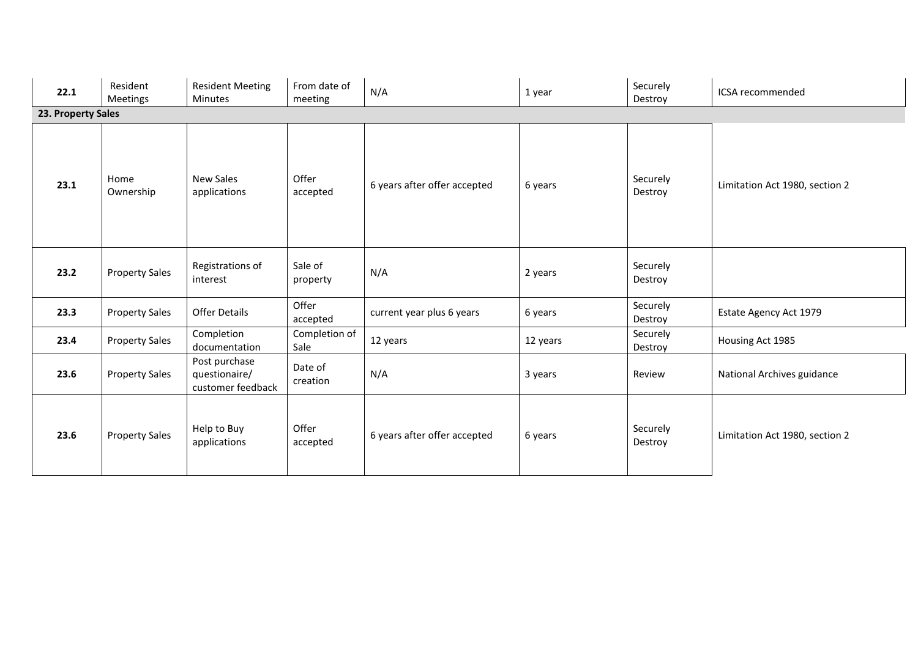| 22.1               | Resident<br>Meetings  | <b>Resident Meeting</b><br><b>Minutes</b>           | From date of<br>meeting | N/A                          | 1 year   | Securely<br>Destroy | ICSA recommended               |  |  |
|--------------------|-----------------------|-----------------------------------------------------|-------------------------|------------------------------|----------|---------------------|--------------------------------|--|--|
| 23. Property Sales |                       |                                                     |                         |                              |          |                     |                                |  |  |
| 23.1               | Home<br>Ownership     | <b>New Sales</b><br>applications                    | Offer<br>accepted       | 6 years after offer accepted | 6 years  | Securely<br>Destroy | Limitation Act 1980, section 2 |  |  |
| 23.2               | <b>Property Sales</b> | Registrations of<br>interest                        | Sale of<br>property     | N/A                          | 2 years  | Securely<br>Destroy |                                |  |  |
| 23.3               | <b>Property Sales</b> | <b>Offer Details</b>                                | Offer<br>accepted       | current year plus 6 years    | 6 years  | Securely<br>Destroy | Estate Agency Act 1979         |  |  |
| 23.4               | <b>Property Sales</b> | Completion<br>documentation                         | Completion of<br>Sale   | 12 years                     | 12 years | Securely<br>Destroy | Housing Act 1985               |  |  |
| 23.6               | <b>Property Sales</b> | Post purchase<br>questionaire/<br>customer feedback | Date of<br>creation     | N/A                          | 3 years  | Review              | National Archives guidance     |  |  |
| 23.6               | <b>Property Sales</b> | Help to Buy<br>applications                         | Offer<br>accepted       | 6 years after offer accepted | 6 years  | Securely<br>Destroy | Limitation Act 1980, section 2 |  |  |